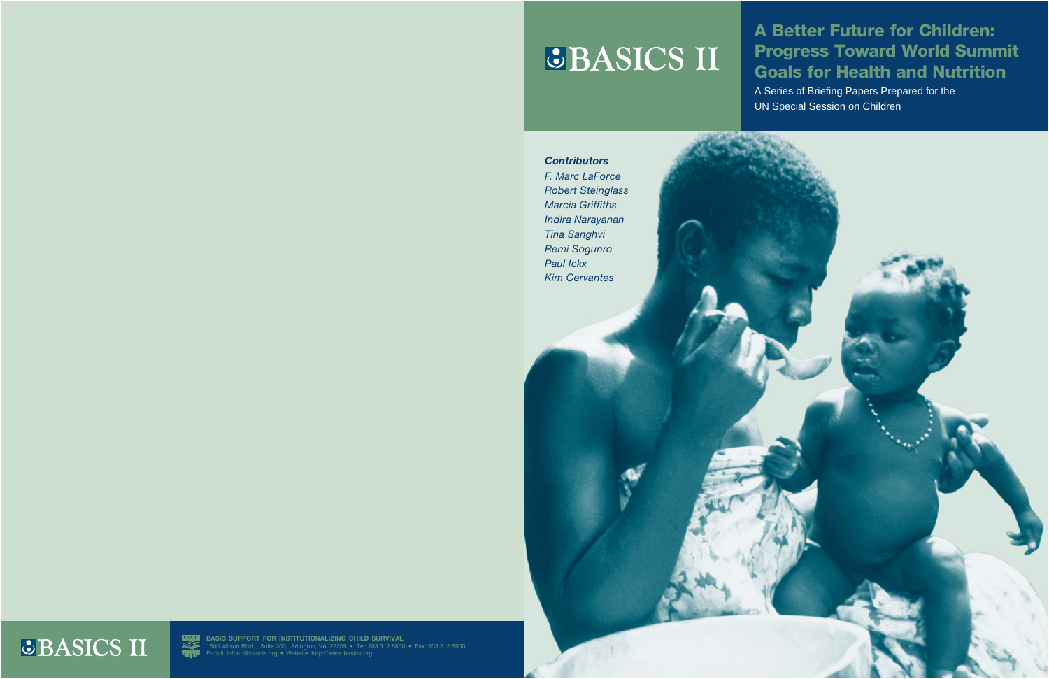# **GBASICS II**

# A Better Future for Children: Progress Toward World Summit Goals for Health and Nutrition

A Series of Briefing Papers Prepared for the UN Special Session on Children

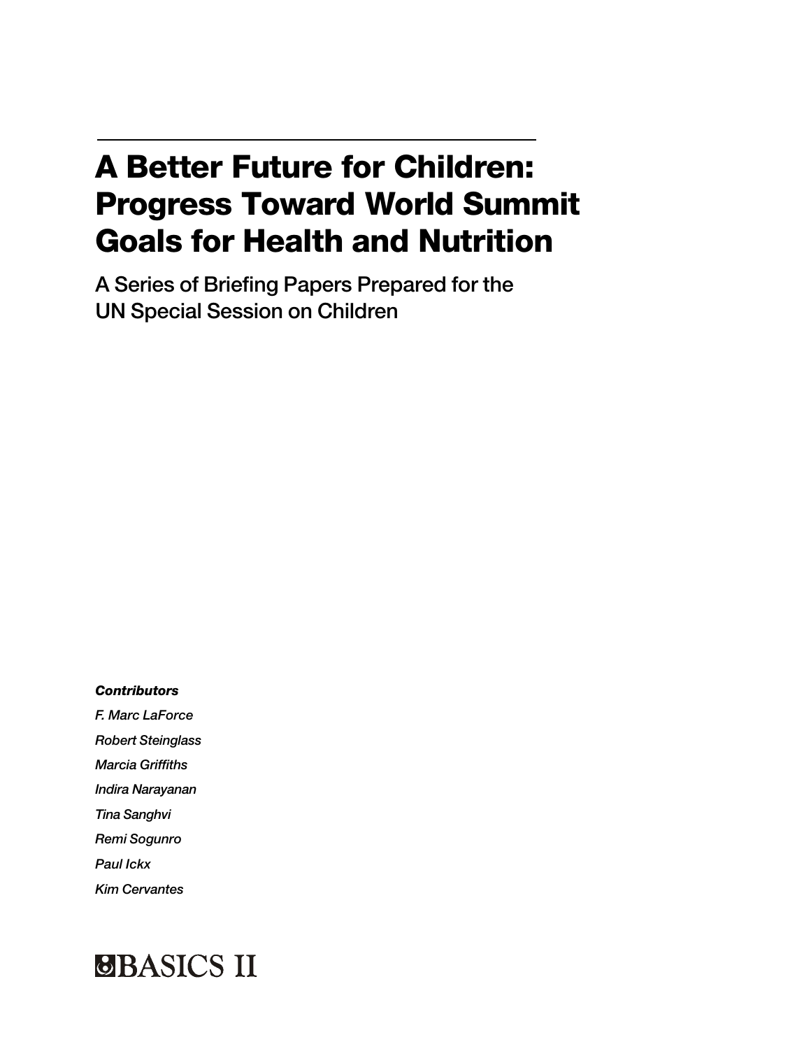# A Better Future for Children: Progress Toward World Summit Goals for Health and Nutrition

A Series of Briefing Papers Prepared for the UN Special Session on Children

*Contributors*

*F. Marc LaForce Robert Steinglass Marcia Griffiths Indira Narayanan Tina Sanghvi Remi Sogunro Paul Ickx*

*Kim Cervantes*

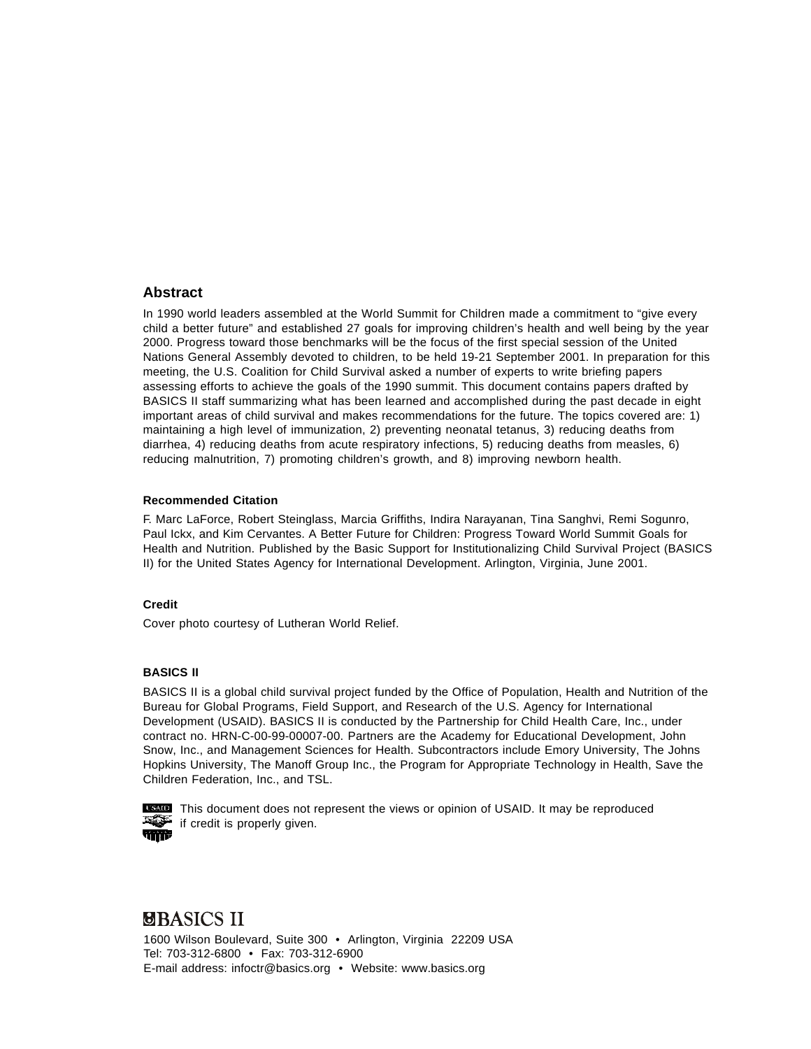#### **Abstract**

In 1990 world leaders assembled at the World Summit for Children made a commitment to "give every child a better future" and established 27 goals for improving children's health and well being by the year 2000. Progress toward those benchmarks will be the focus of the first special session of the United Nations General Assembly devoted to children, to be held 19-21 September 2001. In preparation for this meeting, the U.S. Coalition for Child Survival asked a number of experts to write briefing papers assessing efforts to achieve the goals of the 1990 summit. This document contains papers drafted by BASICS II staff summarizing what has been learned and accomplished during the past decade in eight important areas of child survival and makes recommendations for the future. The topics covered are: 1) maintaining a high level of immunization, 2) preventing neonatal tetanus, 3) reducing deaths from diarrhea, 4) reducing deaths from acute respiratory infections, 5) reducing deaths from measles, 6) reducing malnutrition, 7) promoting children's growth, and 8) improving newborn health.

#### **Recommended Citation**

F. Marc LaForce, Robert Steinglass, Marcia Griffiths, Indira Narayanan, Tina Sanghvi, Remi Sogunro, Paul Ickx, and Kim Cervantes. A Better Future for Children: Progress Toward World Summit Goals for Health and Nutrition. Published by the Basic Support for Institutionalizing Child Survival Project (BASICS II) for the United States Agency for International Development. Arlington, Virginia, June 2001.

#### **Credit**

Cover photo courtesy of Lutheran World Relief.

#### **BASICS II**

BASICS II is a global child survival project funded by the Office of Population, Health and Nutrition of the Bureau for Global Programs, Field Support, and Research of the U.S. Agency for International Development (USAID). BASICS II is conducted by the Partnership for Child Health Care, Inc., under contract no. HRN-C-00-99-00007-00. Partners are the Academy for Educational Development, John Snow, Inc., and Management Sciences for Health. Subcontractors include Emory University, The Johns Hopkins University, The Manoff Group Inc., the Program for Appropriate Technology in Health, Save the Children Federation, Inc., and TSL.



**THE THIS DECOMBENT ON THE VIEWS OF OPEN CONDUCTS** This document does not reproduced  $\mathbb{R}$  if credit is properly given.

#### **UBASICS II**

1600 Wilson Boulevard, Suite 300 • Arlington, Virginia 22209 USA Tel: 703-312-6800 • Fax: 703-312-6900 E-mail address: infoctr@basics.org • Website: www.basics.org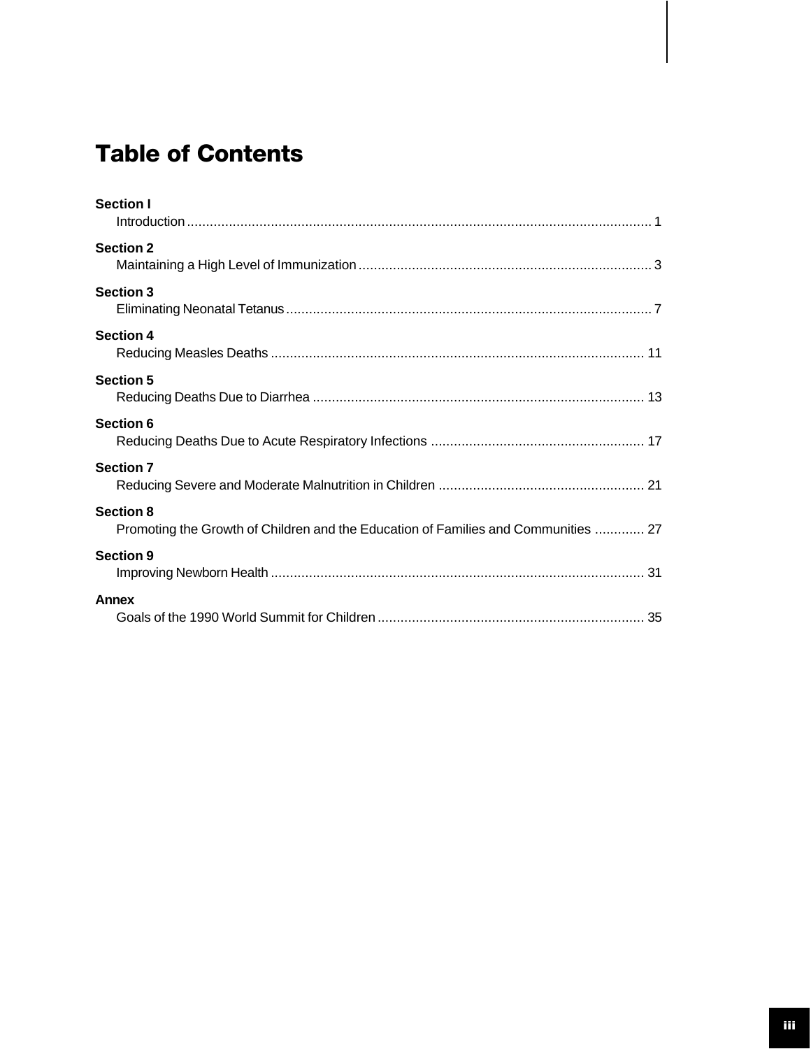# Table of Contents

| <b>Section I</b>                                                                                       |
|--------------------------------------------------------------------------------------------------------|
| <b>Section 2</b>                                                                                       |
| <b>Section 3</b>                                                                                       |
| <b>Section 4</b>                                                                                       |
| <b>Section 5</b>                                                                                       |
| <b>Section 6</b>                                                                                       |
| <b>Section 7</b>                                                                                       |
| <b>Section 8</b><br>Promoting the Growth of Children and the Education of Families and Communities  27 |
| <b>Section 9</b>                                                                                       |
| <b>Annex</b>                                                                                           |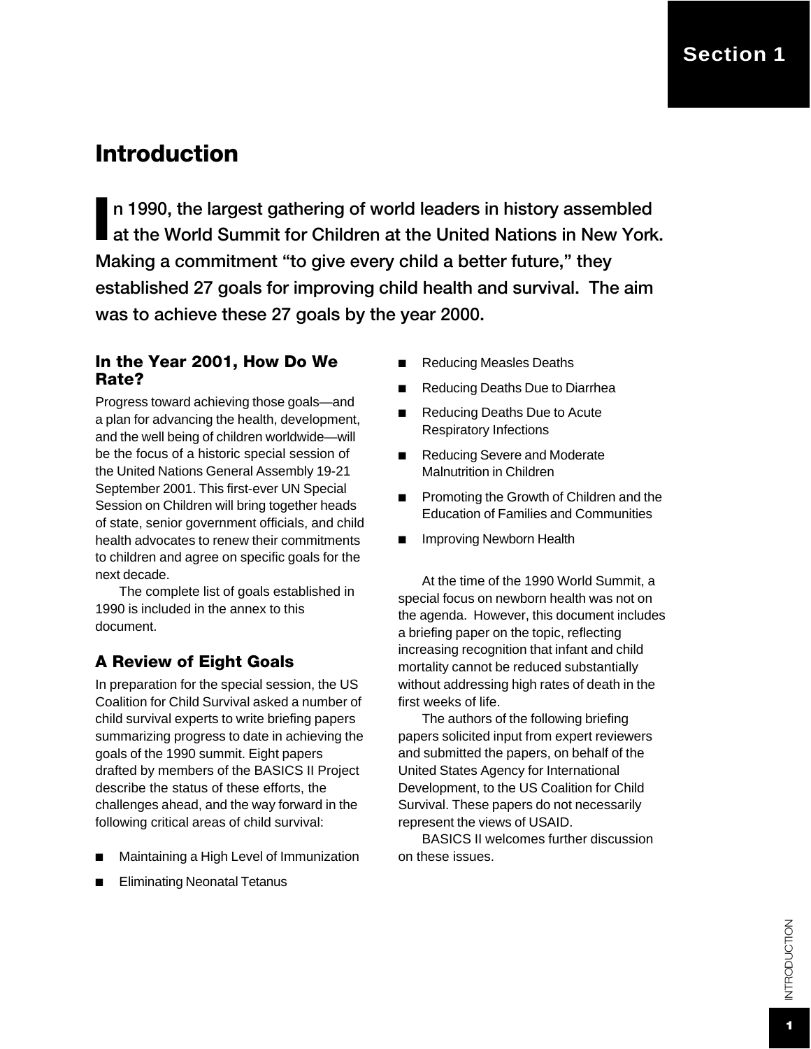# Introduction

In 1990, the largest gathering of world leaders in history assembled<br>at the World Summit for Children at the United Nations in New York. n 1990, the largest gathering of world leaders in history assembled Making a commitment "to give every child a better future," they established 27 goals for improving child health and survival. The aim was to achieve these 27 goals by the year 2000.

#### In the Year 2001, How Do We Rate?

Progress toward achieving those goals—and a plan for advancing the health, development, and the well being of children worldwide—will be the focus of a historic special session of the United Nations General Assembly 19-21 September 2001. This first-ever UN Special Session on Children will bring together heads of state, senior government officials, and child health advocates to renew their commitments to children and agree on specific goals for the next decade.

The complete list of goals established in 1990 is included in the annex to this document.

#### A Review of Eight Goals

In preparation for the special session, the US Coalition for Child Survival asked a number of child survival experts to write briefing papers summarizing progress to date in achieving the goals of the 1990 summit. Eight papers drafted by members of the BASICS II Project describe the status of these efforts, the challenges ahead, and the way forward in the following critical areas of child survival:

- Maintaining a High Level of Immunization
- **Eliminating Neonatal Tetanus**
- **Reducing Measles Deaths**
- **Reducing Deaths Due to Diarrhea**
- Reducing Deaths Due to Acute Respiratory Infections
- Reducing Severe and Moderate Malnutrition in Children
- Promoting the Growth of Children and the Education of Families and Communities
- Improving Newborn Health

At the time of the 1990 World Summit, a special focus on newborn health was not on the agenda. However, this document includes a briefing paper on the topic, reflecting increasing recognition that infant and child mortality cannot be reduced substantially without addressing high rates of death in the first weeks of life.

The authors of the following briefing papers solicited input from expert reviewers and submitted the papers, on behalf of the United States Agency for International Development, to the US Coalition for Child Survival. These papers do not necessarily represent the views of USAID.

BASICS II welcomes further discussion on these issues.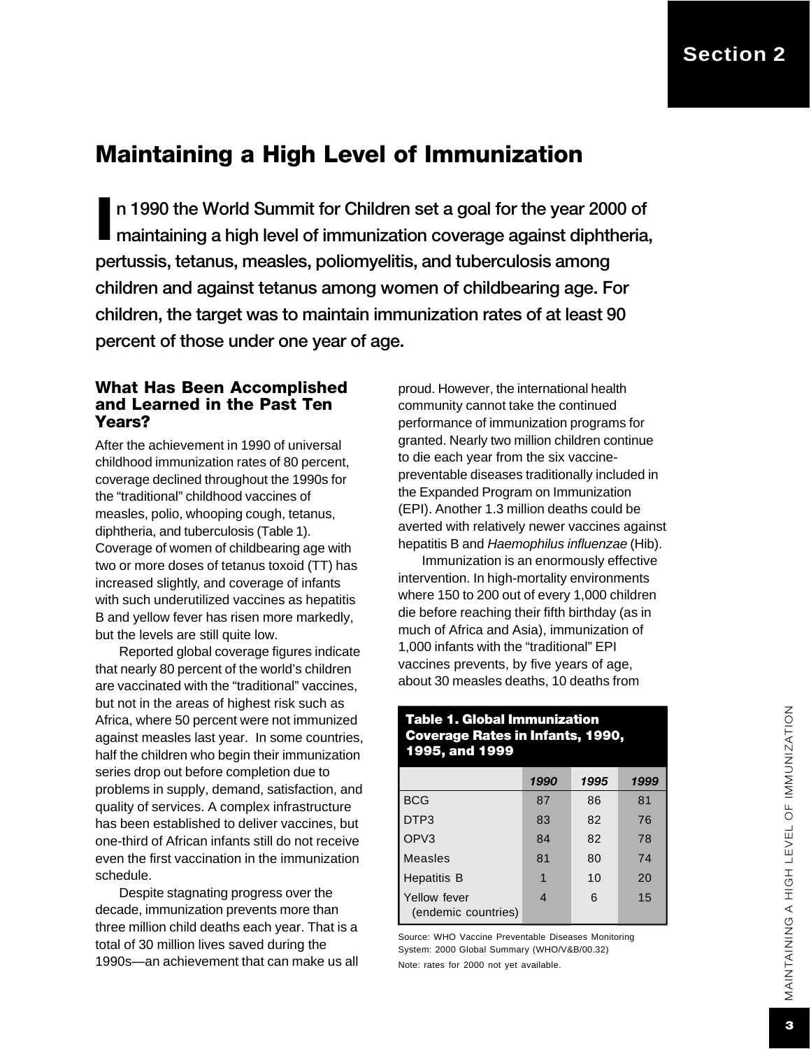## Maintaining a High Level of Immunization

n 1990 the World Summit for Children set a goal for the year 2000 of maintaining a high level of immunization coverage against diphtheria, I pertussis, tetanus, measles, poliomyelitis, and tuberculosis among children and against tetanus among women of childbearing age. For children, the target was to maintain immunization rates of at least 90 percent of those under one year of age.

#### What Has Been Accomplished and Learned in the Past Ten Years?

After the achievement in 1990 of universal childhood immunization rates of 80 percent, coverage declined throughout the 1990s for the "traditional" childhood vaccines of measles, polio, whooping cough, tetanus, diphtheria, and tuberculosis (Table 1). Coverage of women of childbearing age with two or more doses of tetanus toxoid (TT) has increased slightly, and coverage of infants with such underutilized vaccines as hepatitis B and yellow fever has risen more markedly, but the levels are still quite low.

Reported global coverage figures indicate that nearly 80 percent of the world's children are vaccinated with the "traditional" vaccines, but not in the areas of highest risk such as Africa, where 50 percent were not immunized against measles last year. In some countries, half the children who begin their immunization series drop out before completion due to problems in supply, demand, satisfaction, and quality of services. A complex infrastructure has been established to deliver vaccines, but one-third of African infants still do not receive even the first vaccination in the immunization schedule.

Despite stagnating progress over the decade, immunization prevents more than three million child deaths each year. That is a total of 30 million lives saved during the 1990s—an achievement that can make us all proud. However, the international health community cannot take the continued performance of immunization programs for granted. Nearly two million children continue to die each year from the six vaccinepreventable diseases traditionally included in the Expanded Program on Immunization (EPI). Another 1.3 million deaths could be averted with relatively newer vaccines against hepatitis B and *Haemophilus influenzae* (Hib).

Immunization is an enormously effective intervention. In high-mortality environments where 150 to 200 out of every 1,000 children die before reaching their fifth birthday (as in much of Africa and Asia), immunization of 1,000 infants with the "traditional" EPI vaccines prevents, by five years of age, about 30 measles deaths, 10 deaths from

#### Table 1. Global Immunization Coverage Rates in Infants, 1990, 1995, and 1999

|                                     | 1990 | 1995 | 1999 |
|-------------------------------------|------|------|------|
| <b>BCG</b>                          | 87   | 86   | 81   |
| DTP3                                | 83   | 82   | 76   |
| OPV <sub>3</sub>                    | 84   | 82   | 78   |
| Measles                             | 81   | 80   | 74   |
| <b>Hepatitis B</b>                  | 1    | 10   | 20   |
| Yellow fever<br>(endemic countries) | 4    | 6    | 15   |

Source: WHO Vaccine Preventable Diseases Monitoring System: 2000 Global Summary (WHO/V&B/00.32)

Note: rates for 2000 not yet available.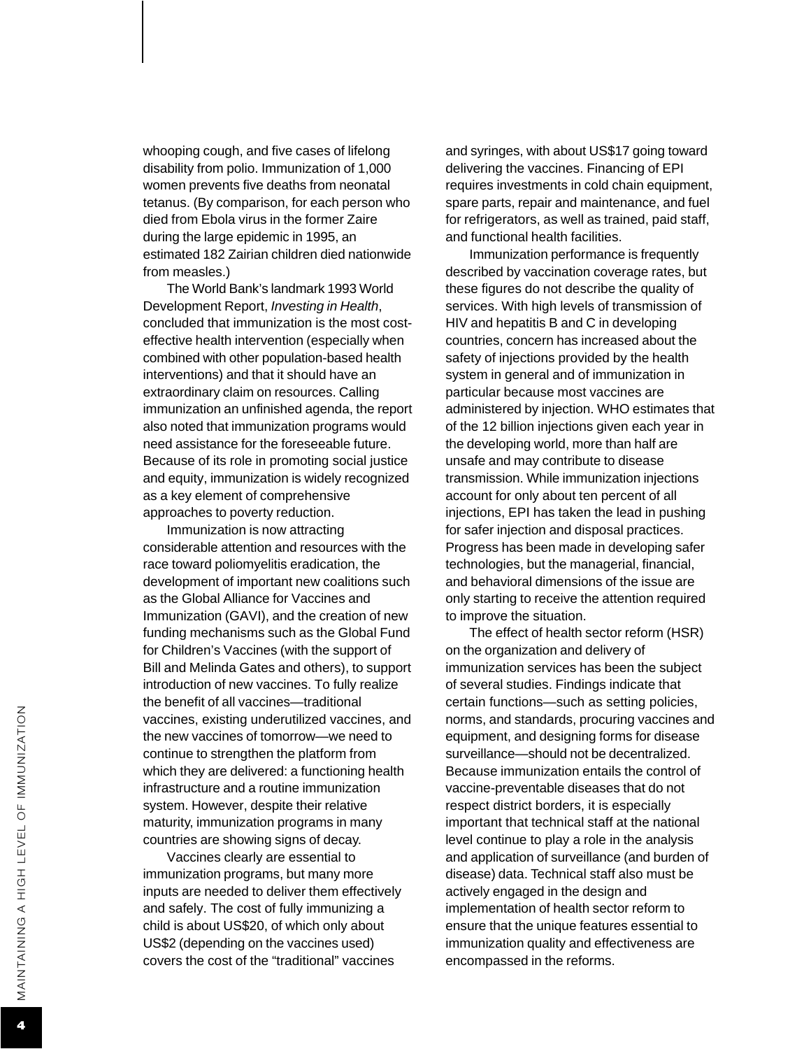whooping cough, and five cases of lifelong disability from polio. Immunization of 1,000 women prevents five deaths from neonatal tetanus. (By comparison, for each person who died from Ebola virus in the former Zaire during the large epidemic in 1995, an estimated 182 Zairian children died nationwide from measles.)

The World Bank's landmark 1993 World Development Report, *Investing in Health*, concluded that immunization is the most costeffective health intervention (especially when combined with other population-based health interventions) and that it should have an extraordinary claim on resources. Calling immunization an unfinished agenda, the report also noted that immunization programs would need assistance for the foreseeable future. Because of its role in promoting social justice and equity, immunization is widely recognized as a key element of comprehensive approaches to poverty reduction.

Immunization is now attracting considerable attention and resources with the race toward poliomyelitis eradication, the development of important new coalitions such as the Global Alliance for Vaccines and Immunization (GAVI), and the creation of new funding mechanisms such as the Global Fund for Children's Vaccines (with the support of Bill and Melinda Gates and others), to support introduction of new vaccines. To fully realize the benefit of all vaccines—traditional vaccines, existing underutilized vaccines, and the new vaccines of tomorrow—we need to continue to strengthen the platform from which they are delivered: a functioning health infrastructure and a routine immunization system. However, despite their relative maturity, immunization programs in many countries are showing signs of decay.

Vaccines clearly are essential to immunization programs, but many more inputs are needed to deliver them effectively and safely. The cost of fully immunizing a child is about US\$20, of which only about US\$2 (depending on the vaccines used) covers the cost of the "traditional" vaccines

and syringes, with about US\$17 going toward delivering the vaccines. Financing of EPI requires investments in cold chain equipment, spare parts, repair and maintenance, and fuel for refrigerators, as well as trained, paid staff, and functional health facilities.

Immunization performance is frequently described by vaccination coverage rates, but these figures do not describe the quality of services. With high levels of transmission of HIV and hepatitis B and C in developing countries, concern has increased about the safety of injections provided by the health system in general and of immunization in particular because most vaccines are administered by injection. WHO estimates that of the 12 billion injections given each year in the developing world, more than half are unsafe and may contribute to disease transmission. While immunization injections account for only about ten percent of all injections, EPI has taken the lead in pushing for safer injection and disposal practices. Progress has been made in developing safer technologies, but the managerial, financial, and behavioral dimensions of the issue are only starting to receive the attention required to improve the situation.

The effect of health sector reform (HSR) on the organization and delivery of immunization services has been the subject of several studies. Findings indicate that certain functions—such as setting policies, norms, and standards, procuring vaccines and equipment, and designing forms for disease surveillance—should not be decentralized. Because immunization entails the control of vaccine-preventable diseases that do not respect district borders, it is especially important that technical staff at the national level continue to play a role in the analysis and application of surveillance (and burden of disease) data. Technical staff also must be actively engaged in the design and implementation of health sector reform to ensure that the unique features essential to immunization quality and effectiveness are encompassed in the reforms.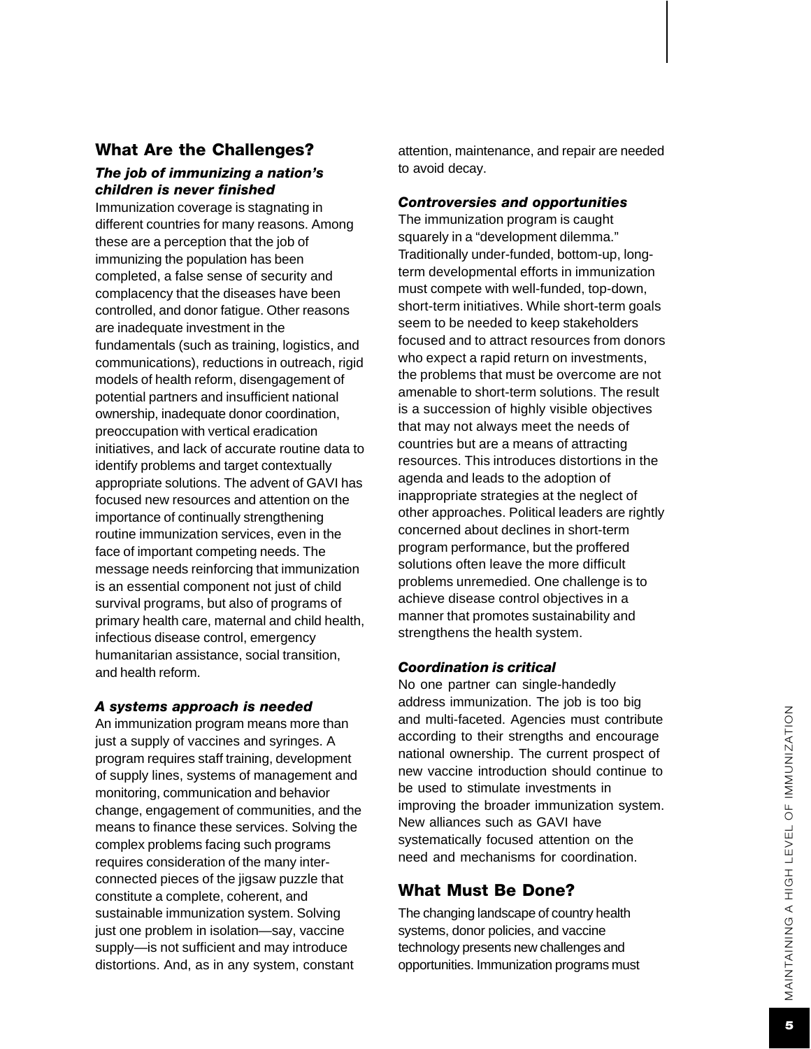# What Are the Challenges?

#### *The job of immunizing a nation's children is never finished*

Immunization coverage is stagnating in different countries for many reasons. Among these are a perception that the job of immunizing the population has been completed, a false sense of security and complacency that the diseases have been controlled, and donor fatigue. Other reasons are inadequate investment in the fundamentals (such as training, logistics, and communications), reductions in outreach, rigid models of health reform, disengagement of potential partners and insufficient national ownership, inadequate donor coordination, preoccupation with vertical eradication initiatives, and lack of accurate routine data to identify problems and target contextually appropriate solutions. The advent of GAVI has focused new resources and attention on the importance of continually strengthening routine immunization services, even in the face of important competing needs. The message needs reinforcing that immunization is an essential component not just of child survival programs, but also of programs of primary health care, maternal and child health, infectious disease control, emergency humanitarian assistance, social transition, and health reform.

#### *A systems approach is needed*

An immunization program means more than just a supply of vaccines and syringes. A program requires staff training, development of supply lines, systems of management and monitoring, communication and behavior change, engagement of communities, and the means to finance these services. Solving the complex problems facing such programs requires consideration of the many interconnected pieces of the jigsaw puzzle that constitute a complete, coherent, and sustainable immunization system. Solving just one problem in isolation—say, vaccine supply—is not sufficient and may introduce distortions. And, as in any system, constant

attention, maintenance, and repair are needed to avoid decay.

#### *Controversies and opportunities*

The immunization program is caught squarely in a "development dilemma." Traditionally under-funded, bottom-up, longterm developmental efforts in immunization must compete with well-funded, top-down, short-term initiatives. While short-term goals seem to be needed to keep stakeholders focused and to attract resources from donors who expect a rapid return on investments, the problems that must be overcome are not amenable to short-term solutions. The result is a succession of highly visible objectives that may not always meet the needs of countries but are a means of attracting resources. This introduce s distortions in the agenda and lead s to the adoption of inappropriate strategies at the neglect of other approaches. Political leaders are rightly concerned about declines in short-term program performance, but the proffered solutions often leave the more difficult problems unremedied. One challenge is to achieve disease control objectives in a manner that promotes sustainability and strengthens the health system.

#### *Coordination is critical*

No one partner can single-handedly address immunization. The job is too big and multi-faceted. Agencies must contribute according to their strengths and encourage national ownership. The current prospect of new vaccine introduction should continue to be used to stimulate investments in improving the broader immunization system. New alliances such as GAVI have systematically focused attention on the need and mechanisms for coordination.

#### What Must Be Done?

The changing landscape of country health systems, donor policies, and vaccine technology presents new challenges and opportunities. Immunization programs must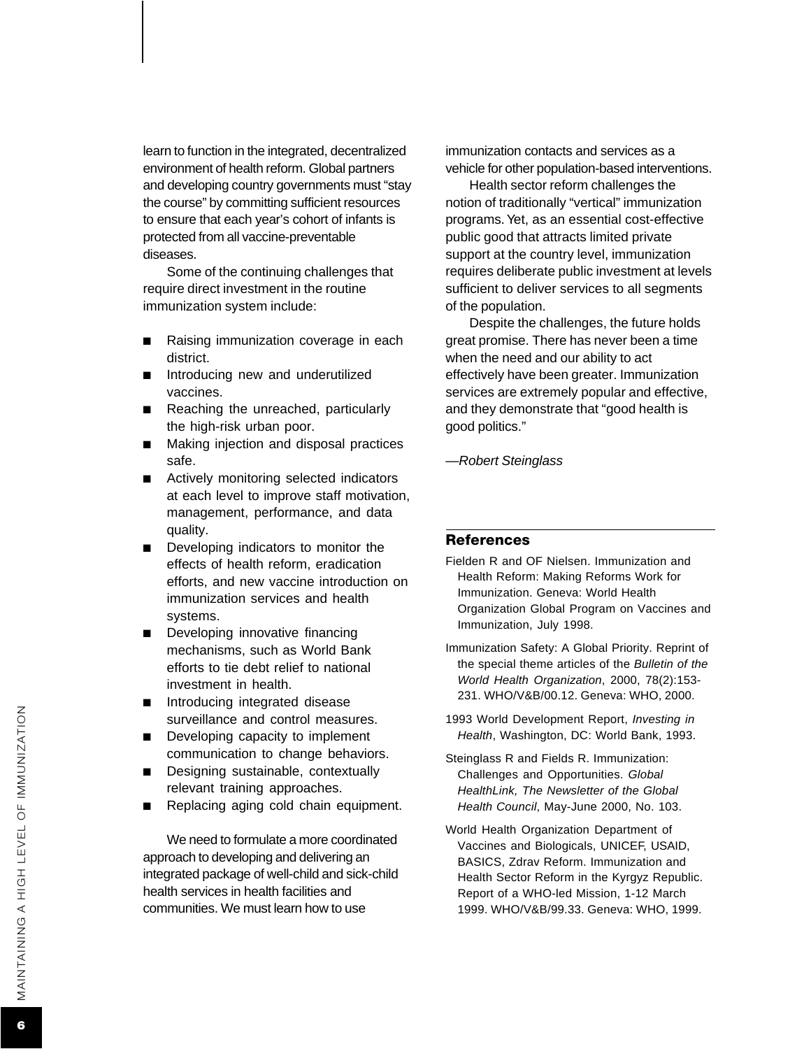learn to function in the integrated, decentralized environment of health reform. Global partners and developing country governments must "stay the course" by committing sufficient resources to ensure that each year's cohort of infants is protected from all vaccine-preventable diseases.

Some of the continuing challenges that require direct investment in the routine immunization system include:

- Raising immunization coverage in each district.
- Introducing new and underutilized vaccines.
- Reaching the unreached, particularly the high-risk urban poor.
- Making injection and disposal practices safe.
- Actively monitoring selected indicators at each level to improve staff motivation, management, performance, and data quality.
- Developing indicators to monitor the effects of health reform, eradication efforts, and new vaccine introduction on immunization services and health systems.
- Developing innovative financing mechanisms, such as World Bank efforts to tie debt relief to national investment in health.
- Introducing integrated disease surveillance and control measures.
- Developing capacity to implement communication to change behaviors.
- Designing sustainable, contextually relevant training approaches.
- Replacing aging cold chain equipment.

We need to formulate a more coordinated approach to developing and delivering an integrated package of well-child and sick-child health services in health facilities and communities. We must learn how to use

immunization contacts and services as a vehicle for other population-based interventions.

Health sector reform challenges the notion of traditionally "vertical" immunization programs. Yet, as an essential cost-effective public good that attracts limited private support at the country level, immunization requires deliberate public investment at levels sufficient to deliver services to all segments of the population.

Despite the challenges, the future holds great promise. There has never been a time when the need and our ability to act effectively have been greater. Immunization services are extremely popular and effective, and they demonstrate that "good health is good politics."

*—Robert Steinglass*

#### **References**

- Fielden R and OF Nielsen. Immunization and Health Reform: Making Reforms Work for Immunization. Geneva: World Health Organization Global Program on Vaccines and Immunization, July 1998.
- Immunization Safety: A Global Priority. Reprint of the special theme articles of the *Bulletin of the World Health Organization*, 2000, 78(2):153- 231. WHO/V&B/00.12. Geneva: WHO, 2000.
- 1993 World Development Report, *Investing in Health*, Washington, DC: World Bank, 1993.
- Steinglass R and Fields R. Immunization: Challenges and Opportunities. *Global HealthLink, The Newsletter of the Global Health Council*, May-June 2000, No. 103.
- World Health Organization Department of Vaccines and Biologicals, UNICEF, USAID, BASICS, Zdrav Reform. Immunization and Health Sector Reform in the Kyrgyz Republic. Report of a WHO-led Mission, 1-12 March 1999. WHO/V&B/99.33. Geneva: WHO, 1999.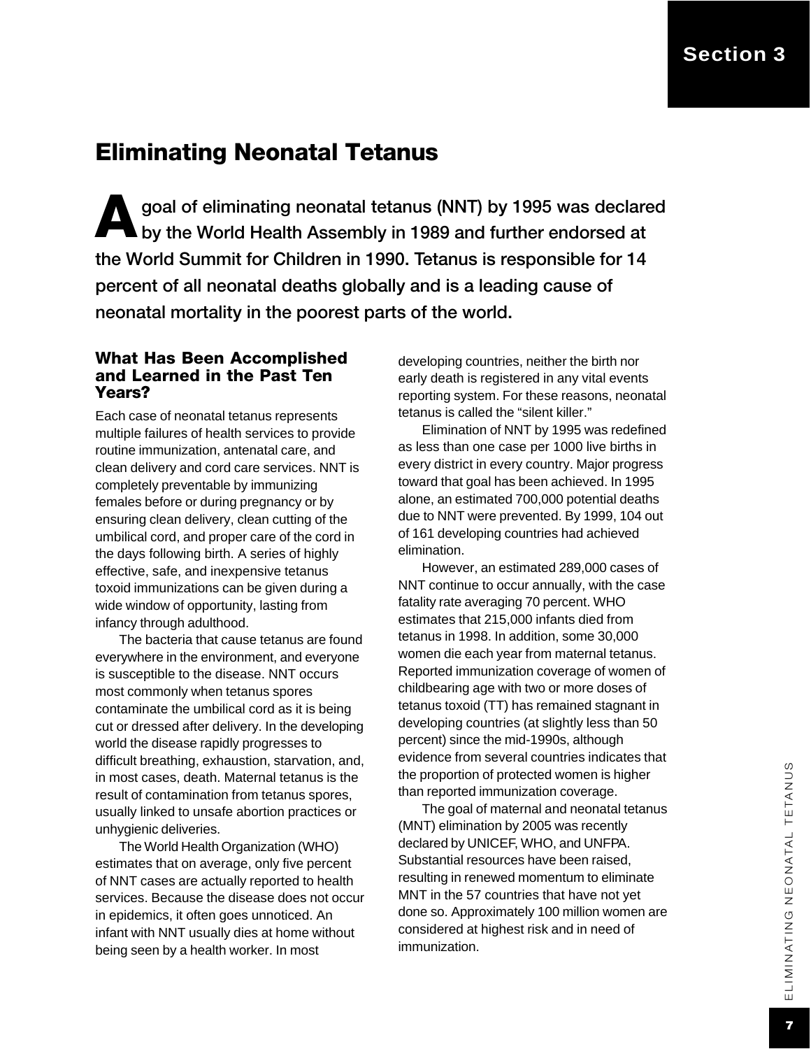### Eliminating Neonatal Tetanus

goal of eliminating neonatal tetanus (NNT) by 1995 was declar<br>by the World Health Assembly in 1989 and further endorsed at goal of eliminating neonatal tetanus (NNT) by 1995 was declared the World Summit for Children in 1990. Tetanus is responsible for 14 percent of all neonatal deaths globally and is a leading cause of neonatal mortality in the poorest parts of the world.

#### What Has Been Accomplished and Learned in the Past Ten Years?

Each case of neonatal tetanus represents multiple failures of health services to provide routine immunization, antenatal care, and clean delivery and cord care services. NNT is completely preventable by immunizing females before or during pregnancy or by ensuring clean delivery, clean cutting of the umbilical cord, and proper care of the cord in the days following birth. A series of highly effective, safe, and inexpensive tetanus toxoid immunizations can be given during a wide window of opportunity, lasting from infancy through adulthood.

The bacteria that cause tetanus are found everywhere in the environment, and everyone is susceptible to the disease. NNT occurs most commonly when tetanus spores contaminate the umbilical cord as it is being cut or dressed after delivery. In the developing world the disease rapidly progresses to difficult breathing, exhaustion, starvation, and, in most cases, death. Maternal tetanus is the result of contamination from tetanus spores, usually linked to unsafe abortion practices or unhygienic deliveries.

The World Health Organization (WHO) estimates that on average, only five percent of NNT cases are actually reported to health services. Because the disease does not occur in epidemics, it often goes unnoticed. An infant with NNT usually dies at home without being seen by a health worker. In most

developing countries, neither the birth nor early death is registered in any vital events reporting system. For these reasons, neonatal tetanus is called the "silent killer."

Elimination of NNT by 1995 was redefined as less than one case per 1000 live births in every district in every country. Major progress toward that goal has been achieved. In 1995 alone, an estimated 700,000 potential deaths due to NNT were prevented. By 1999, 104 out of 161 developing countries had achieved elimination.

However, an estimated 289,000 cases of NNT continue to occur annually, with the case fatality rate averaging 70 percent. WHO estimates that 215,000 infants died from tetanus in 1998. In addition, some 30,000 women die each year from maternal tetanus. Reported immunization coverage of women of childbearing age with two or more doses of tetanus toxoid (TT) has remained stagnant in developing countries (at slightly less than 50 percent) since the mid-1990s, although evidence from several countries indicates that the proportion of protected women is higher than reported immunization coverage.

The goal of maternal and neonatal tetanus (MNT) elimination by 2005 was recently declared by UNICEF, WHO, and UNFPA. Substantial resources have been raised, resulting in renewed momentum to eliminate MNT in the 57 countries that have not yet done so. Approximately 100 million women are considered at highest risk and in need of immunization.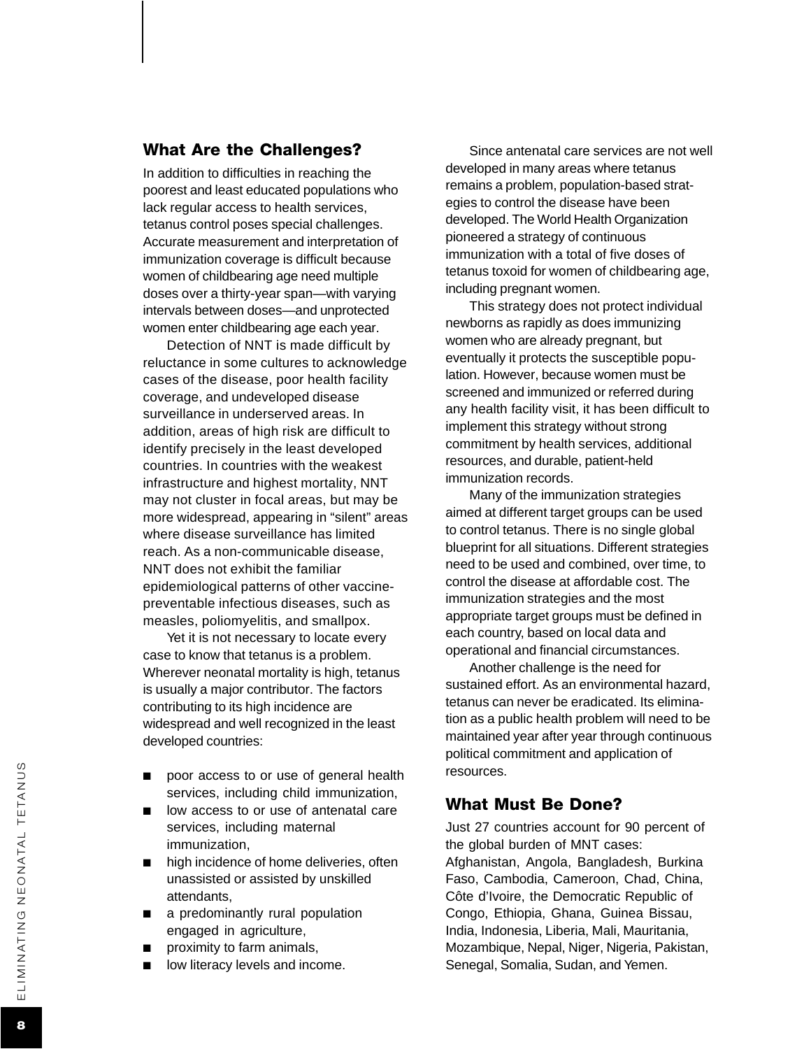#### What Are the Challenges?

In addition to difficulties in reaching the poorest and least educated populations who lack regular access to health services, tetanus control poses special challenges. Accurate measurement and interpretation of immunization coverage is difficult because women of childbearing age need multiple doses over a thirty-year span—with varying intervals between doses—and unprotected women enter childbearing age each year.

Detection of NNT is made difficult by reluctance in some cultures to acknowledge cases of the disease, poor health facility coverage, and undeveloped disease surveillance in underserved areas. In addition, areas of high risk are difficult to identify precisely in the least developed countries. In countries with the weakest infrastructure and highest mortality, NNT may not cluster in focal areas, but may be more widespread, appearing in "silent" areas where disease surveillance has limited reach. As a non-communicable disease, NNT does not exhibit the familiar epidemiological patterns of other vaccinepreventable infectious diseases, such as measles, poliomyelitis, and smallpox.

Yet it is not necessary to locate every case to know that tetanus is a problem. Wherever neonatal mortality is high, tetanus is usually a major contributor. The factors contributing to its high incidence are widespread and well recognized in the least developed countries:

- poor access to or use of general health services, including child immunization,
- low access to or use of antenatal care services, including maternal immunization,
- high incidence of home deliveries, often unassisted or assisted by unskilled attendants,
- a predominantly rural population engaged in agriculture,
- proximity to farm animals,
- low literacy levels and income.

Since antenatal care services are not well developed in many areas where tetanus remains a problem, population-based strategies to control the disease have been developed. The World Health Organization pioneered a strategy of continuous immunization with a total of five doses of tetanus toxoid for women of childbearing age, including pregnant women.

This strategy does not protect individual newborns as rapidly as does immunizing women who are already pregnant, but eventually it protects the susceptible population. However, because women must be screened and immunized or referred during any health facility visit, it has been difficult to implement this strategy without strong commitment by health services, additional resources, and durable, patient-held immunization records.

Many of the immunization strategies aimed at different target groups can be used to control tetanus. There is no single global blueprint for all situations. Different strategies need to be used and combined, over time, to control the disease at affordable cost. The immunization strategies and the most appropriate target groups must be defined in each countr y, based on local data and operational and financial circumstances.

Another challenge is the need for sustained effort. As an environmental hazard, tetanus can never be eradicated. Its elimination as a public health problem will need to be maintained year after year through continuous political commitment and application of resources.

#### What Must Be Done?

Just 27 countries account for 90 percent of the global burden of MNT cases: Afghanistan, Angola, Bangladesh, Burkina Faso, Cambodia, Cameroon, Chad, China, Côte d'Ivoire, the Democratic Republic of Congo, Ethiopia, Ghana, Guinea Bissau, India, Indonesia, Liberia, Mali, Mauritania, Mozambique, Nepal, Niger, Nigeria, Pakistan, Senegal, Somalia, Sudan, and Yemen.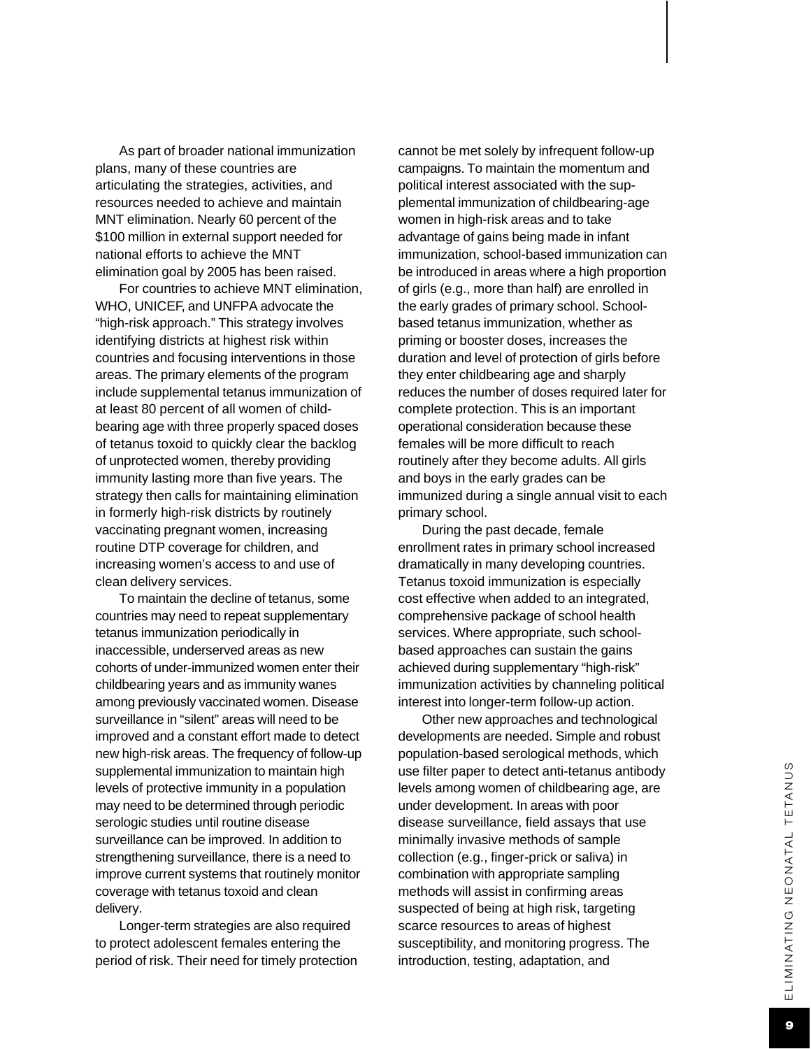As part of broader national immunization plans, many of these countries are articulating the strategies, activities, and resources needed to achieve and maintain MNT elimination. Nearly 60 percent of the \$100 million in external support needed for national efforts to achieve the MNT elimination goal by 2005 has been raised.

For countries to achieve MNT elimination, WHO, UNICEF, and UNFPA advocate the "high-risk approach." This strategy involves identifying districts at highest risk within countries and focusing interventions in those areas. The primary elements of the program include supplemental tetanus immunization of at least 80 percent of all women of childbearing age with three properly spaced doses of tetanus toxoid to quickly clear the backlog of unprotected women, thereby providing immunity lasting more than five years. The strategy then calls for maintaining elimination in formerly high-risk districts by routinely vaccinating pregnant women, increasing routine DTP coverage for children, and increasing women's access to and use of clean delivery services.

To maintain the decline of tetanus, some countries may need to repeat supplementary tetanus immunization periodically in inaccessible, underserved areas as new cohorts of under-immunized women enter their childbearing years and as immunity wanes among previously vaccinated women. Disease surveillance in "silent" areas will need to be improved and a constant effort made to detect new high-risk areas. The frequency of follow-up supplemental immunization to maintain high levels of protective immunity in a population may need to be determined through periodic serologic studies until routine disease surveillance can be improved. In addition to strengthening surveillance, there is a need to improve current systems that routinely monitor coverage with tetanus toxoid and clean delivery.

Longer-term strategies are also required to protect adolescent females entering the period of risk. Their need for timely protection cannot be met solely by infrequent follow-up campaigns. To maintain the momentum and political interest associated with the supplemental immunization of childbearing-age women in high-risk areas and to take advantage of gains being made in infant immunization, school-based immunization can be introduced in areas where a high proportion of girls (e.g., more than half) are enrolled in the early grades of primary school. Schoolbased tetanus immunization, whether as priming or booster doses, increases the duration and level of protection of girls before they enter childbearing age and sharply reduces the number of doses required later for complete protection. This is an important operational consideration because these females will be more difficult to reach routinely after they become adults. All girls and boys in the early grades can be immunized during a single annual visit to each primary school.

During the past decade, female enrollment rates in primary school increased dramatically in many developing countries. Tetanus toxoid immunization is especially cost effective when added to an integrated, comprehensive package of school health services. Where appropriate, such schoolbased approaches can sustain the gains achieved during supplementary "high-risk" immunization activities by channeling political interest into longer-term follow-up action.

Other new approaches and technological developments are needed. Simple and robust population-based serological methods, which use filter paper to detect anti-tetanus antibody levels among women of childbearing age, are under development. In areas with poor disease surveillance, field assays that use minimally invasive methods of sample collection (e.g., finger-prick or saliva) in combination with appropriate sampling methods will assist in confirming areas suspected of being at high risk, targeting scarce resources to areas of highest susceptibility, and monitoring progress. The introduction, testing, adaptation, and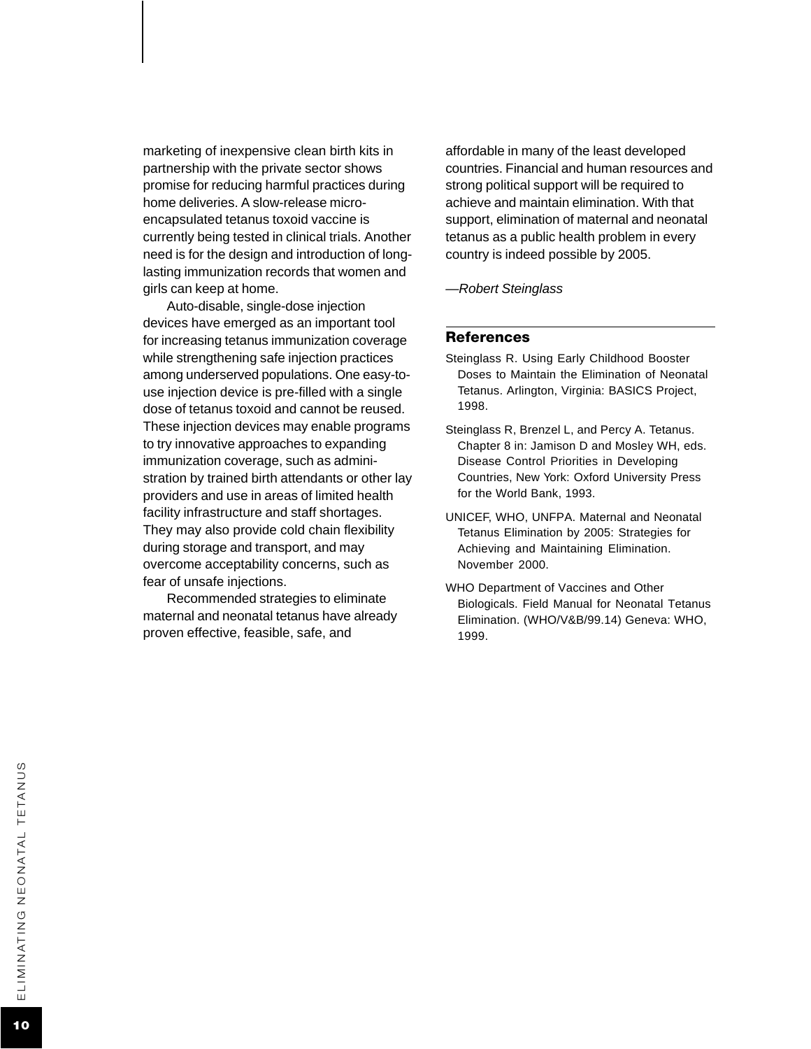marketing of inexpensive clean birth kits in partnership with the private sector shows promise for reducing harmful practices during home deliveries. A slow-release microencapsulated tetanus toxoid vaccine is currently being tested in clinical trials. Another need is for the design and introduction of longlasting immunization records that women and girls can keep at home.

Auto-disable, single-dose injection devices have emerged as an important tool for increasing tetanus immunization coverage while strengthening safe injection practices among underserved populations. One easy-touse injection device is pre-filled with a single dose of tetanus toxoid and cannot be reused. These injection devices may enable programs to try innovative approaches to expanding immunization coverage, such as administration by trained birth attendants or other lay providers and use in areas of limited health facility infrastructure and staff shortages. They may also provide cold chain flexibility during storage and transport, and may overcome acceptability concerns, such as fear of unsafe injections.

Recommended strategies to eliminate maternal and neonatal tetanus have already proven effective, feasible, safe, and

affordable in many of the least developed countries. Financial and human resources and strong political support will be required to achieve and maintain elimination. With that support, elimination of maternal and neonatal tetanus as a public health problem in every country is indeed possible by 2005.

*—Robert Steinglass*

#### References

- Steinglass R. Using Early Childhood Booster Doses to Maintain the Elimination of Neonatal Tetanus. Arlington, Virginia: BASICS Project, 1998.
- Steinglass R, Brenzel L, and Percy A. Tetanus. Chapter 8 in: Jamison D and Mosley WH, eds. Disease Control Priorities in Developing Countries, New York: Oxford University Press for the World Bank, 1993.
- UNICEF, WHO, UNFPA. Maternal and Neonatal Tetanus Elimination by 2005: Strategies for Achieving and Maintaining Elimination. November 2000.
- WHO Department of Vaccines and Other Biologicals. Field Manual for Neonatal Tetanus Elimination. (WHO/V&B/99.14) Geneva: WHO, 1999.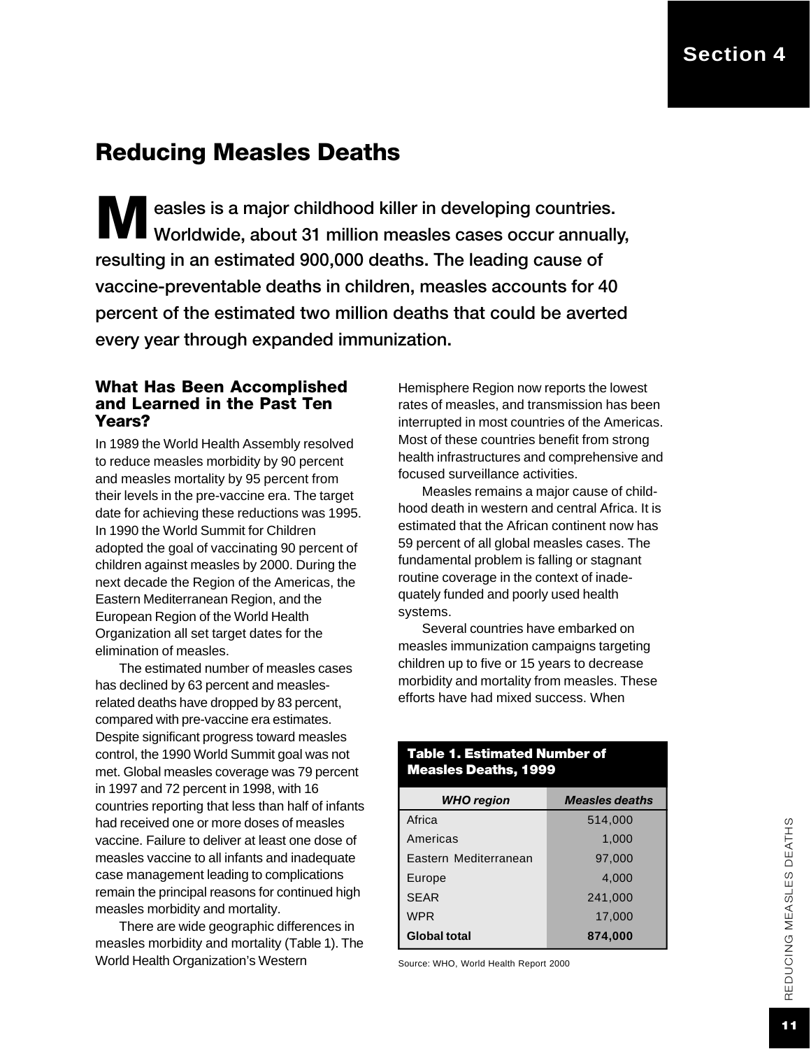#### **Section 4**

### Reducing Measles Deaths

**M** easles is a major childhood killer in developing countries.<br>Werldwide, about 31 million measles cases occur annuall Worldwide, about 31 million measles cases occur annually, resulting in an estimated 900,000 deaths. The leading cause of vaccine-preventable deaths in children, measles accounts for 40 percent of the estimated two million deaths that could be averted every year through expanded immunization.

#### What Has Been Accomplished and Learned in the Past Ten Years?

In 1989 the World Health Assembly resolved to reduce measles morbidity by 90 percent and measles mortality by 95 percent from their levels in the pre-vaccine era. The target date for achieving these reductions was 1995. In 1990 the World Summit for Children adopted the goal of vaccinating 90 percent of children against measles by 2000. During the next decade the Region of the Americas, the Eastern Mediterranean Region, and the European Region of the World Health Organization all set target dates for the elimination of measles.

The estimated number of measles cases has declined by 63 percent and measlesrelated deaths have dropped by 83 percent, compared with pre-vaccine era estimates. Despite significant progress toward measles control, the 1990 World Summit goal was not met. Global measles coverage was 79 percent in 1997 and 72 percent in 1998, with 16 countries reporting that less than half of infants had received one or more doses of measles vaccine. Failure to deliver at least one dose of measles vaccine to all infants and inadequate case management leading to complications remain the principal reasons for continued high measles morbidity and mortality.

There are wide geographic differences in measles morbidity and mortality (Table 1). The World Health Organization's Western

Hemisphere Region now reports the lowest rates of measles, and transmission has been interrupted in most countries of the Americas. Most of these countries benefit from strong health infrastructures and comprehensive and focused surveillance activities.

Measles remains a major cause of childhood death in western and central Africa. It is estimated that the African continent now has 59 percent of all global measles cases. The fundamental problem is falling or stagnant routine coverage in the context of inadequately funded and poorly used health systems.

Several countries have embarked on measles immunization campaigns targeting children up to five or 15 years to decrease morbidity and mortality from measles. These efforts have had mixed success. When

#### Table 1. Estimated Number of Measles Deaths, 1999

| <b>WHO</b> region     | <b>Measles deaths</b> |  |  |
|-----------------------|-----------------------|--|--|
| Africa                | 514,000               |  |  |
| Americas              | 1,000                 |  |  |
| Eastern Mediterranean | 97,000                |  |  |
| Europe                | 4,000                 |  |  |
| <b>SEAR</b>           | 241,000               |  |  |
| <b>WPR</b>            | 17,000                |  |  |
| <b>Global total</b>   | 874,000               |  |  |

Source: WHO, World Health Report 2000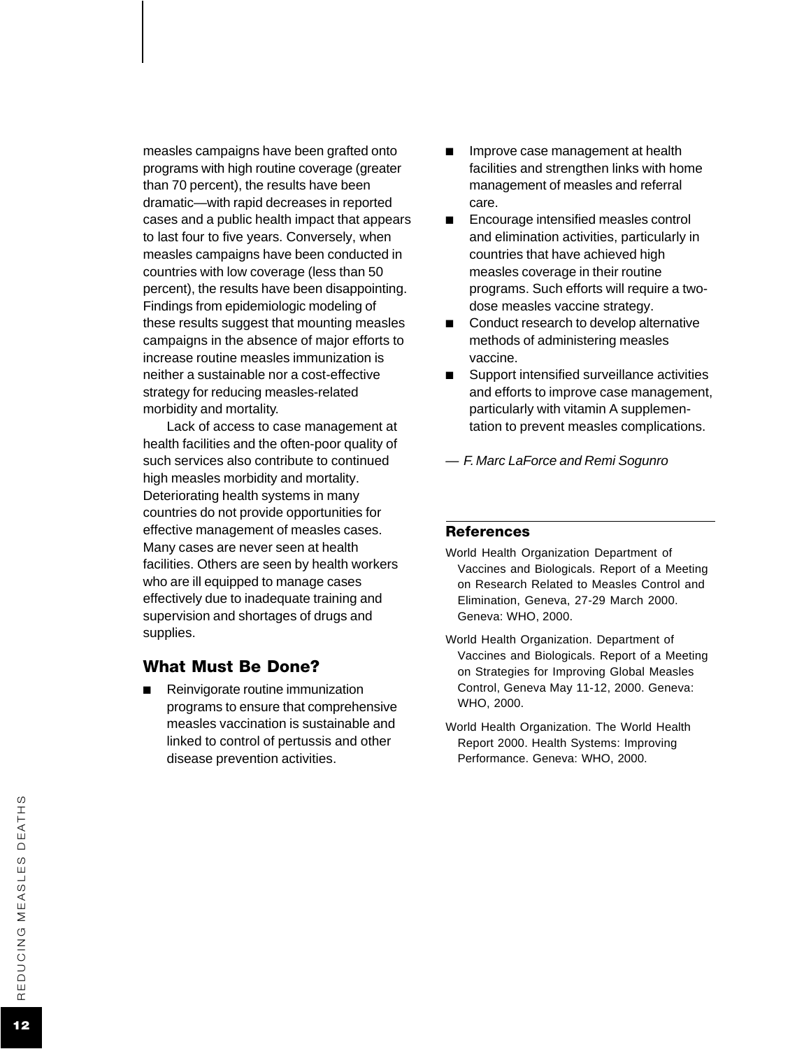measles campaigns have been grafted onto programs with high routine coverage (greater than 70 percent), the results have been dramatic—with rapid decreases in reported cases and a public health impact that appears to last four to five years. Conversely, when measles campaigns have been conducted in countries with low coverage (less than 50 percent), the results have been disappointing. Findings from epidemiologic modeling of these results suggest that mounting measles campaigns in the absence of major efforts to increase routine measles immunization is neither a sustainable nor a cost-effective strategy for reducing measles-related morbidity and mortality.

Lack of access to case management at health facilities and the often-poor quality of such services also contribute to continued high measles morbidity and mortality. Deteriorating health systems in many countries do not provide opportunities for effective management of measles cases. Many cases are never seen at health facilities. Others are seen by health workers who are ill equipped to manage cases effectively due to inadequate training and supervision and shortages of drugs and supplies.

#### What Must Be Done?

■ Reinvigorate routine immunization programs to ensure that comprehensive measles vaccination is sustainable and linked to control of pertussis and other disease prevention activities.

- Improve case management at health facilities and strengthen links with home management of measles and referral care.
- Encourage intensified measles control and elimination activities, particularly in countries that have achieved high measles coverage in their routine programs. Such efforts will require a twodose measles vaccine strategy.
- Conduct research to develop alternative methods of administering measles vaccine.
- Support intensified surveillance activities and efforts to improve case management, particularly with vitamin A supplementation to prevent measles complications.
- *— F. Marc LaForce and Remi Sogunro*

#### **References**

- World Health Organization Department of Vaccines and Biologicals. Report of a Meeting on Research Related to Measles Control and Elimination, Geneva, 27-29 March 2000. Geneva: WHO, 2000.
- World Health Organization. Department of Vaccines and Biologicals. Report of a Meeting on Strategies for Improving Global Measles Control, Geneva May 11-12, 2000. Geneva: WHO, 2000.
- World Health Organization. The World Health Report 2000. Health Systems: Improving Performance. Geneva: WHO, 2000.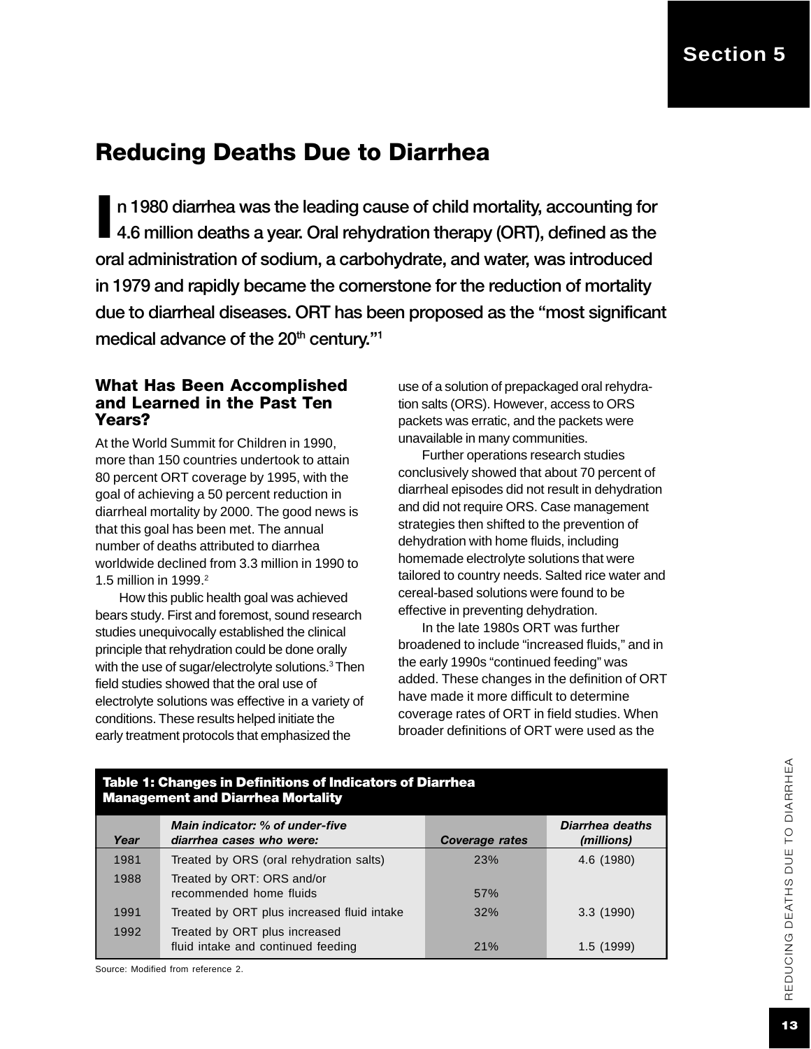# Reducing Deaths Due to Diarrhea

I n 1980 diarrhea was the leading cause of child mortality, accounting for 4.6 million deaths a year. Oral rehydration therapy (ORT), defined as the oral administration of sodium, a carbohydrate, and water, was introduced in 1979 and rapidly became the cornerstone for the reduction of mortality due to diarrheal diseases. ORT has been proposed as the "most significant medical advance of the 20<sup>th</sup> century."<sup>1</sup>

#### What Has Been Accomplished and Learned in the Past Ten Years?

At the World Summit for Children in 1990, more than 150 countries undertook to attain 80 percent ORT coverage by 1995, with the goal of achieving a 50 percent reduction in diarrheal mortality by 2000. The good news is that this goal has been met. The annual number of deaths attributed to diarrhea worldwide declined from 3.3 million in 1990 to 1.5 million in 1999.<sup>2</sup>

How this public health goal was achieved bears study. First and foremost, sound research studies unequivocally established the clinical principle that rehydration could be done orally with the use of sugar/electrolyte solutions.<sup>3</sup> Then field studies showed that the oral use of electrolyte solutions was effective in a variety of conditions. These results helped initiate the early treatment protocols that emphasized the

Table 1: Changes in Definitions of Indicators of Diarrhea

use of a solution of prepackaged oral rehydration salts (ORS). However, access to ORS packets was erratic, and the packets were unavailable in many communities.

Further operations research studies conclusively showed that about 70 percent of diarrheal episodes did not result in dehydration and did not require ORS. Case management strategies then shifted to the prevention of dehydration with home fluids, including homemade electrolyte solutions that were tailored to country needs. Salted rice water and cereal-based solutions were found to be effective in preventing dehydration.

In the late 1980s ORT was further broadened to include "increased fluids," and in the early 1990s "continued feeding" was added. These changes in the definition of ORT have made it more difficult to determine coverage rates of ORT in field studies. When broader definitions of ORT were used as the

| <b>Management and Diarrhea Mortality</b> |                                                                     |                       |                               |  |
|------------------------------------------|---------------------------------------------------------------------|-----------------------|-------------------------------|--|
| Year                                     | Main indicator: % of under-five<br>diarrhea cases who were:         | <b>Coverage rates</b> | Diarrhea deaths<br>(millions) |  |
| 1981                                     | Treated by ORS (oral rehydration salts)                             | 23%                   | 4.6 (1980)                    |  |
| 1988                                     | Treated by ORT: ORS and/or<br>recommended home fluids               | 57%                   |                               |  |
| 1991                                     | Treated by ORT plus increased fluid intake                          | 32%                   | 3.3(1990)                     |  |
| 1992                                     | Treated by ORT plus increased<br>fluid intake and continued feeding | 21%                   | 1.5(1999)                     |  |

Source: Modified from reference 2.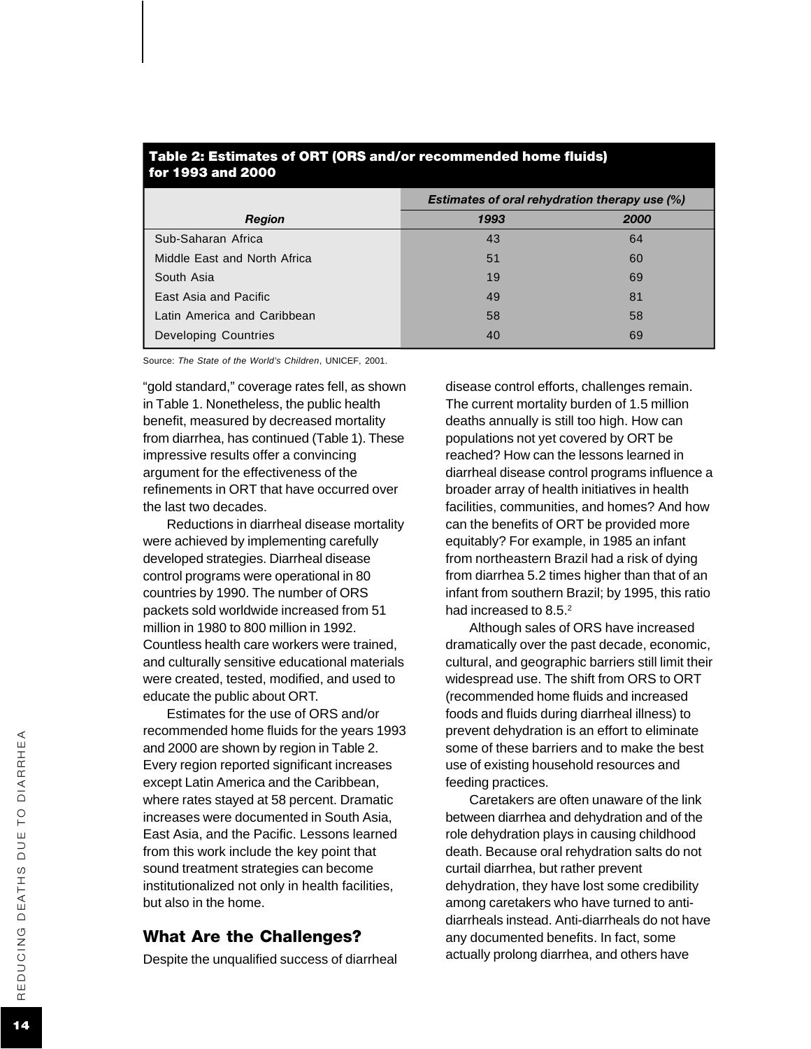| for 1993 and 2000            |                                                      |      |  |  |
|------------------------------|------------------------------------------------------|------|--|--|
|                              | <b>Estimates of oral rehydration therapy use (%)</b> |      |  |  |
| <b>Region</b>                | 1993                                                 | 2000 |  |  |
| Sub-Saharan Africa           | 43                                                   | 64   |  |  |
| Middle East and North Africa | 51                                                   | 60   |  |  |
| South Asia                   | 19                                                   | 69   |  |  |
| East Asia and Pacific        | 49                                                   | 81   |  |  |
| Latin America and Caribbean  | 58                                                   | 58   |  |  |
| Developing Countries         | 40                                                   | 69   |  |  |

# Table 2: Estimates of ORT (ORS and/or recommended home fluids)

Source: *The State of the World's Children*, UNICEF, 2001.

"gold standard," coverage rates fell, as shown in Table 1. Nonetheless, the public health benefit, measured by decreased mortality from diarrhea, has continued (Table 1). These impressive results offer a convincing argument for the effectiveness of the refinements in ORT that have occurred over the last two decades.

Reductions in diarrheal disease mortality were achieved by implementing carefully developed strategies. Diarrheal disease control programs were operational in 80 countries by 1990. The number of ORS packets sold worldwide increased from 51 million in 1980 to 800 million in 1992. Countless health care workers were trained, and culturally sensitive educational materials were created, tested, modified, and used to educate the public about ORT.

Estimates for the use of ORS and/or recommended home fluids for the years 1993 and 2000 are shown by region in Table 2. Every region reported significant increases except Latin America and the Caribbean, where rates stayed at 58 percent. Dramatic increases were documented in South Asia, East Asia, and the Pacific. Lessons learned from this work include the key point that sound treatment strategies can become institutionalized not only in health facilities, but also in the home.

#### What Are the Challenges?

Despite the unqualified success of diarrheal

disease control efforts, challenges remain. The current mortality burden of 1.5 million deaths annually is still too high. How can populations not yet covered by ORT be reached? How can the lessons learned in diarrheal disease control programs influence a broader array of health initiatives in health facilities, communities, and homes? And how can the benefits of ORT be provided more equitably? For example, in 1985 an infant from northeastern Brazil had a risk of dying from diarrhea 5.2 times higher than that of an infant from southern Brazil; by 1995, this ratio had increased to 8.5.<sup>2</sup>

Although sales of ORS have increased dramatically over the past decade, economic, cultural, and geographic barriers still limit their widespread use. The shift from ORS to ORT (recommended home fluids and increased foods and fluids during diarrheal illness) to prevent dehydration is an effort to eliminate some of these barriers and to make the best use of existing household resources and feeding practices.

Caretakers are often unaware of the link between diarrhea and dehydration and of the role dehydration plays in causing childhood death. Because oral rehydration salts do not curtail diarrhea, but rather prevent dehydration, they have lost some credibility among caretakers who have turned to antidiarrheals instead. Anti-diarrheals do not have any documented benefits. In fact, some actually prolong diarrhea, and others have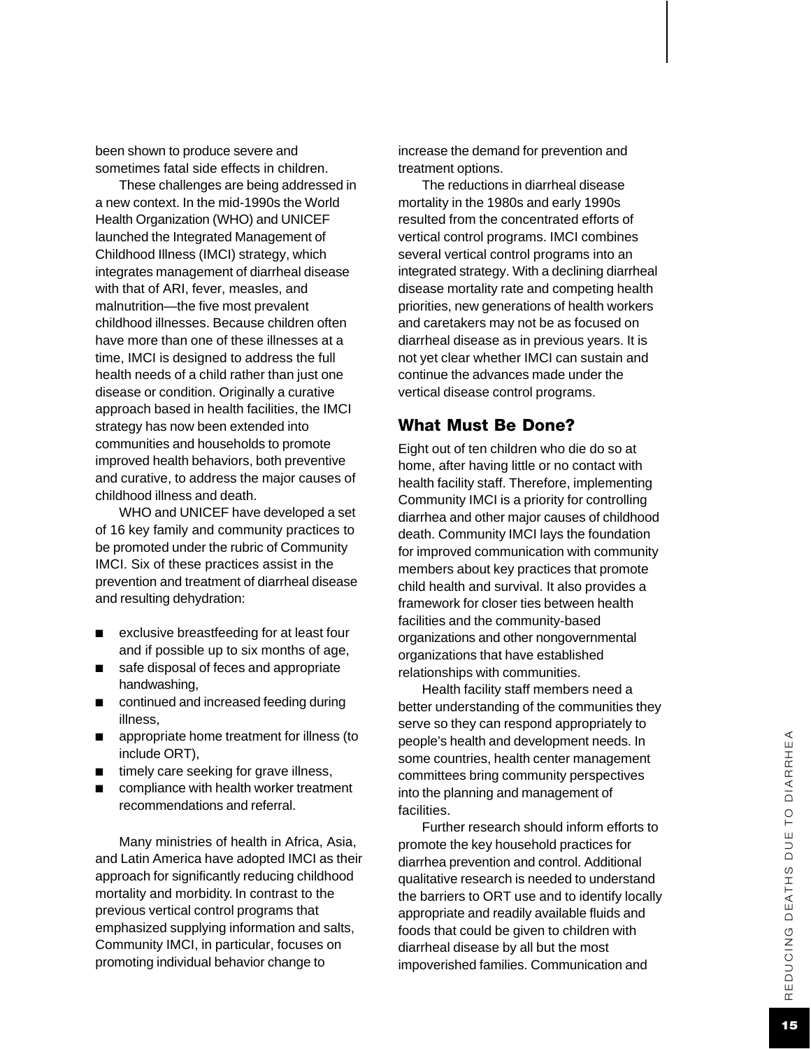been shown to produce severe and sometimes fatal side effects in children.

These challenges are being addressed in a new context. In the mid-1990s the World Health Organization (WHO) and UNICEF launched the Integrated Management of Childhood Illness (IMCI) strategy, which integrates management of diarrheal disease with that of ARI, fever, measles, and malnutrition—the five most prevalent childhood illnesses. Because children often have more than one of these illnesses at a time, IMCI is designed to address the full health needs of a child rather than just one disease or condition. Originally a curative approach based in health facilities, the IMCI strategy has now been extended into communities and households to promote improved health behaviors, both preventive and curative, to address the major causes of childhood illness and death.

WHO and UNICEF have developed a set of 16 key family and community practices to be promoted under the rubric of Community IMCI. Six of these practices assist in the prevention and treatment of diarrheal disease and resulting dehydration:

- exclusive breastfeeding for at least four and if possible up to six months of age,
- safe disposal of feces and appropriate handwashing,
- continued and increased feeding during illness,
- appropriate home treatment for illness (to include ORT),
- timely care seeking for grave illness,
- compliance with health worker treatment recommendations and referral.

Many ministries of health in Africa, Asia, and Latin America have adopted IMCI as their approach for significantly reducing childhood mortality and morbidity. In contrast to the previous vertical control programs that emphasized supplying information and salts, Community IMCI, in particular, focuses on promoting individual behavior change to

increase the demand for prevention and treatment options.

The reductions in diarrheal disease mortality in the 1980s and early 1990s resulted from the concentrated efforts of vertical control programs. IMCI combines several vertical control programs into an integrated strategy. With a declining diarrheal disease mortality rate and competing health priorities, new generations of health workers and caretakers may not be as focused on diarrheal disease as in previous years. It is not yet clear whether IMCI can sustain and continue the advances made under the vertical disease control programs.

#### What Must Be Done?

Eight out of ten children who die do so at home, after having little or no contact with health facility staff. Therefore, implementing Community IMCI is a priority for controlling diarrhea and other major causes of childhood death. Community IMCI lays the foundation for improved communication with community members about key practices that promote child health and survival. It also provides a framework for closer ties between health facilities and the community-based organizations and other nongovernmental organizations that have established relationships with communities.

Health facility staff members need a better understanding of the communities they serve so they can respond appropriately to people's health and development needs. In some countries, health center management committees bring community perspectives into the planning and management of facilities.

Further research should inform efforts to promote the key household practices for diarrhea prevention and control. Additional qualitative research is needed to understand the barriers to ORT use and to identify locally appropriate and readily available fluids and foods that could be given to children with diarrheal disease by all but the most impoverished families. Communication and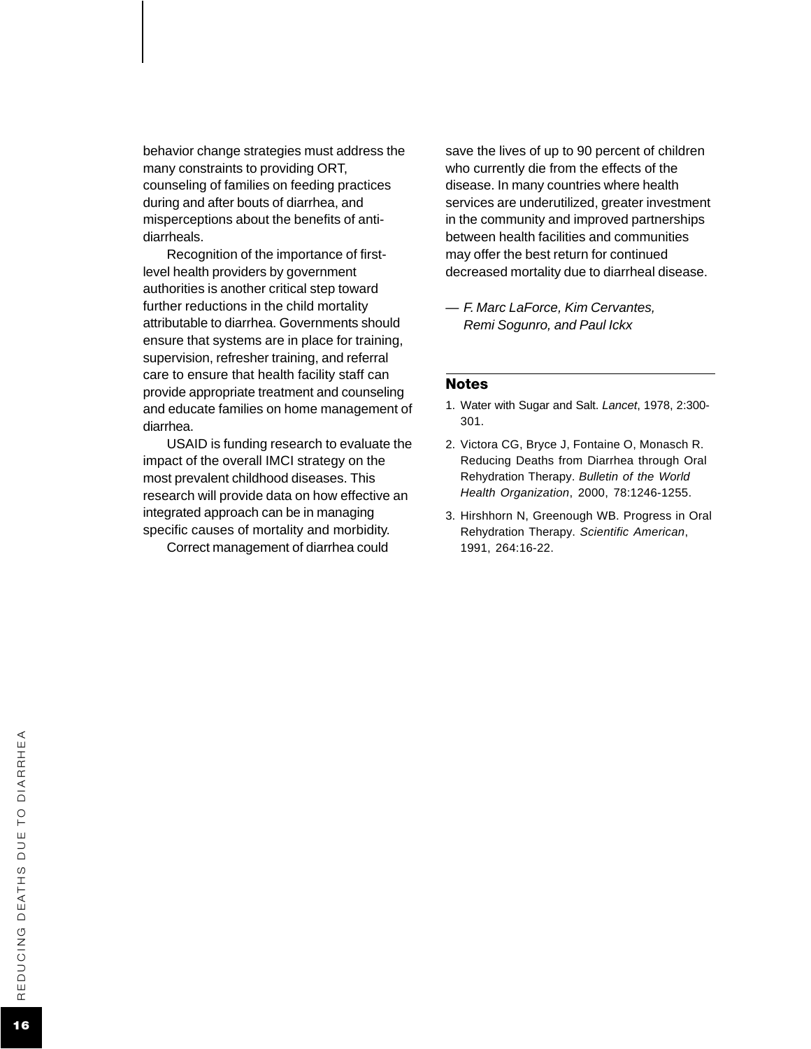behavior change strategies must address the many constraints to providing ORT, counseling of families on feeding practices during and after bouts of diarrhea, and misperceptions about the benefits of antidiarrheals.

Recognition of the importance of firstlevel health providers by government authorities is another critical step toward further reductions in the child mortality attributable to diarrhea. Governments should ensure that systems are in place for training, supervision, refresher training, and referral care to ensure that health facility staff can provide appropriate treatment and counseling and educate families on home management of diarrhea.

USAID is funding research to evaluate the impact of the overall IMCI strategy on the most prevalent childhood diseases. This research will provide data on how effective an integrated approach can be in managing specific causes of mortality and morbidity.

Correct management of diarrhea could

save the lives of up to 90 percent of children who currently die from the effects of the disease. In many countries where health services are underutilized, greater investment in the community and improved partnerships between health facilities and communities may offer the best return for continued decreased mortality due to diarrheal disease.

*— F. Marc LaForce, Kim Cervantes, Remi Sogunro, and Paul Ickx*

#### Notes

- 1. Water with Sugar and Salt. *Lancet*, 1978, 2:300- 301.
- 2. Victora CG, Bryce J, Fontaine O, Monasch R. Reducing Deaths from Diarrhea through Oral Rehydration Therapy. *Bulletin of the World Health Organization*, 2000, 78:1246-1255.
- 3. Hirshhorn N, Greenough WB. Progress in Oral Rehydration Therapy. *Scientific American*, 1991, 264:16-22.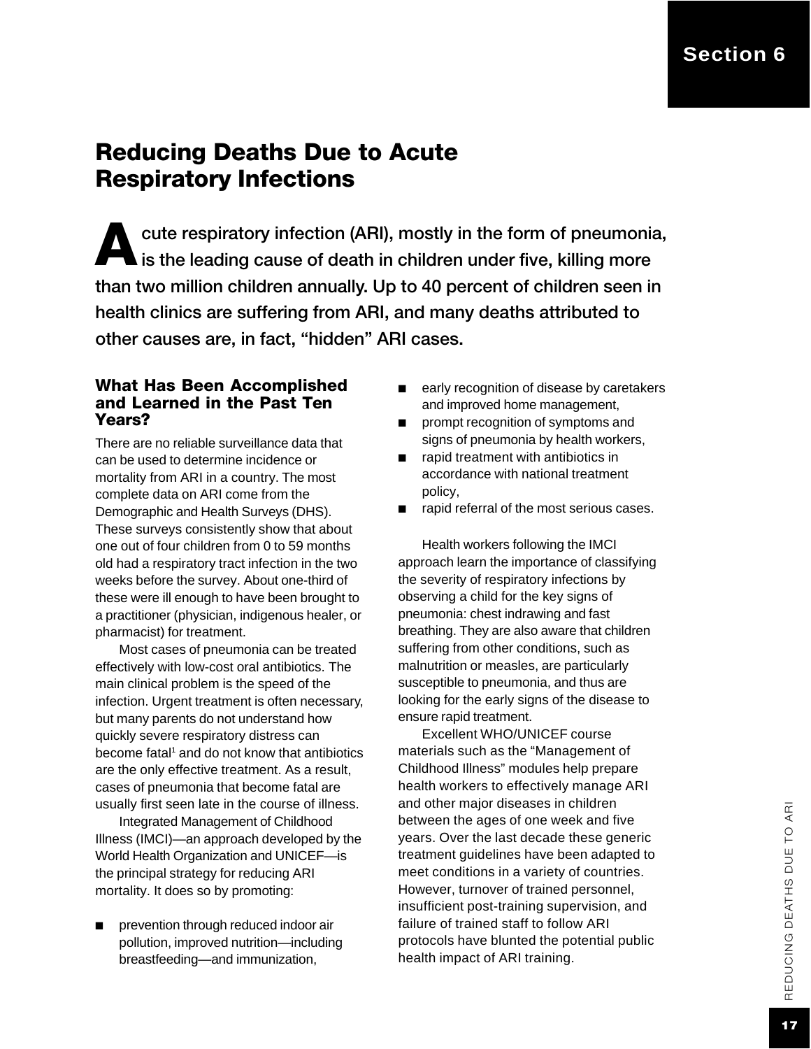# Reducing Deaths Due to Acute Respiratory Infections

A cute respiratory infection (ARI), mostly in the form of pneumonia,  $\blacksquare$  is the leading cause of death in children under five, killing more than two million children annually. Up to 40 percent of children seen in health clinics are suffering from ARI, and many deaths attributed to other causes are, in fact, "hidden" ARI cases.

#### What Has Been Accomplished and Learned in the Past Ten Years?

There are no reliable surveillance data that can be used to determine incidence or mortality from ARI in a country. The most complete data on ARI come from the Demographic and Health Surveys (DHS). These surveys consistently show that about one out of four children from 0 to 59 months old had a respiratory tract infection in the two weeks before the survey. About one-third of these were ill enough to have been brought to a practitioner (physician, indigenous healer, or pharmacist) for treatment.

Most cases of pneumonia can be treated effectively with low-cost oral antibiotics. The main clinical problem is the speed of the infection. Urgent treatment is often necessary, but many parents do not understand how quickly severe respiratory distress can become fatal<sup>1</sup> and do not know that antibiotics are the only effective treatment. As a result, cases of pneumonia that become fatal are usually first seen late in the course of illness.

Integrated Management of Childhood Illness (IMCI)—an approach developed by the World Health Organization and UNICEF—is the principal strategy for reducing ARI mortality. It does so by promoting:

prevention through reduced indoor air pollution, improved nutrition—including breastfeeding—and immunization,

- early recognition of disease by caretakers and improved home management,
- prompt recognition of symptoms and signs of pneumonia by health workers,
- rapid treatment with antibiotics in accordance with national treatment policy,
- rapid referral of the most serious cases.

Health workers following the IMCI approach learn the importance of classifying the severity of respiratory infections by observing a child for the key signs of pneumonia: chest indrawing and fast breathing. They are also aware that children suffering from other conditions, such as malnutrition or measles, are particularly susceptible to pneumonia, and thus are looking for the early signs of the disease to ensure rapid treatment.

Excellent WHO/UNICEF course materials such as the "Management of Childhood Illness" modules help prepare health workers to effectively manage ARI and other major diseases in children between the ages of one week and five years. Over the last decade these generic treatment guidelines have been adapted to meet conditions in a variety of countries. However, turnover of trained personnel, insufficient post-training supervision, and failure of trained staff to follow ARI protocols have blunted the potential public health impact of ARI training.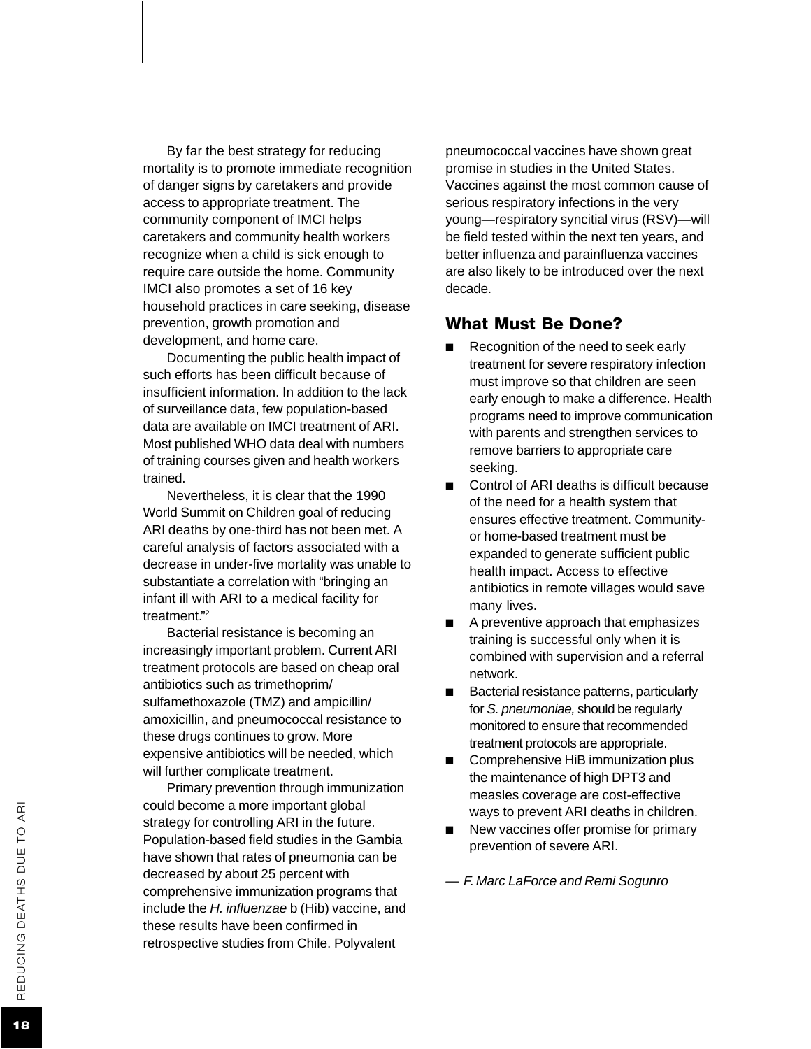By far the best strategy for reducing mortality is to promote immediate recognition of danger signs by caretakers and provide access to appropriate treatment. The community component of IMCI helps caretakers and community health workers recognize when a child is sick enough to require care outside the home. Community IMCI also promotes a set of 16 key household practices in care seeking, disease prevention, growth promotion and development, and home care.

Documenting the public health impact of such efforts has been difficult because of insufficient information. In addition to the lack of surveillance data, few population-based data are available on IMCI treatment of ARI. Most published WHO data deal with numbers of training courses given and health workers trained.

Nevertheless, it is clear that the 1990 World Summit on Children goal of reducing ARI deaths by one-third has not been met. A careful analysis of factors associated with a decrease in under-five mortality was unable to substantiate a correlation with "bringing an infant ill with ARI to a medical facility for treatment . " 2

Bacterial resistance is becoming an increasingly important problem. Current ARI treatment protocols are based on cheap oral antibiotics such as trimethoprim/ sulfamethoxazole (TMZ) and ampicillin/ amoxicillin, and pneumococcal resistance to these drugs continues to grow. More expensive antibiotics will be needed, which will further complicate treatment.

Primary prevention through immunization could become a more important global strategy for controlling ARI in the future. Population-based field studies in the Gambia have shown that rates of pneumonia can be decreased by about 25 percent with comprehensive immunization programs that include the *H. influenzae* b (Hib) vaccine, and these results have been confirmed in retrospective studies from Chile. Polyvalent

pneumococcal vaccines have shown great promise in studies in the United States. Vaccines against the most common cause of serious respiratory infections in the very young—respiratory syncitial virus (RSV)—will be field tested within the next ten years, and better influenza and parainfluenza vaccines are also likely to be introduced over the next decade.

#### What Must Be Done?

- Recognition of the need to seek early treatment for severe respiratory infection must improve so that children are seen early enough to make a difference. Health programs need to improve communication with parents and strengthen services to remove barriers to appropriate care seeking.
- Control of ARI deaths is difficult because of the need for a health system that ensures effective treatment. Communityor home-based treatment must be expanded to generate sufficient public health impact. Access to effective antibiotics in remote villages would save many lives.
- A preventive approach that emphasizes training is successful only when it is combined with supervision and a referral network.
- Bacterial resistance patterns, particularly for *S. pneumoniae,* should be regularly monitored to ensure that recommended treatment protocols are appropriate.
- Comprehensive HiB immunization plus the maintenance of high DPT3 and measles coverage are cost-effective ways to prevent ARI deaths in children.
- New vaccines offer promise for primary prevention of severe ARI.

*— F. Marc LaForce and Remi Sogunro*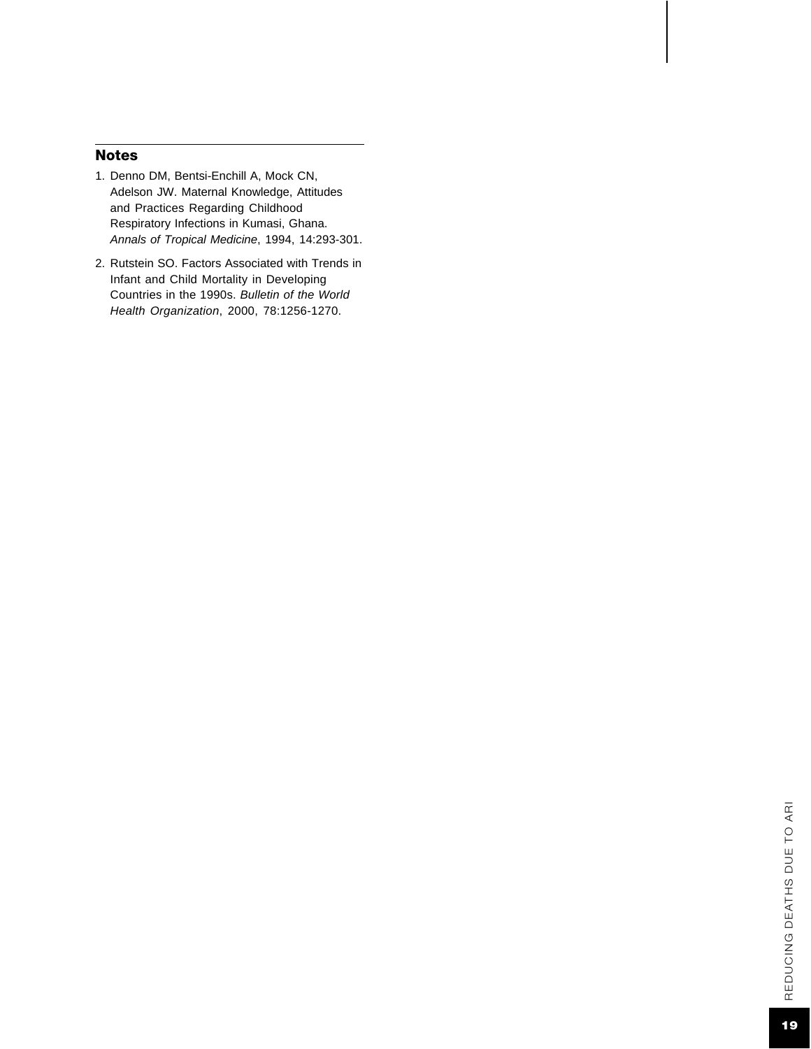#### Notes

- 1. Denno DM, Bentsi-Enchill A, Mock CN, Adelson JW. Maternal Knowledge, Attitudes and Practices Regarding Childhood Respiratory Infections in Kumasi, Ghana. *Annals of Tropical Medicine*, 1994, 14:293-301.
- 2. Rutstein SO. Factors Associated with Trends in Infant and Child Mortality in Developing Countries in the 1990s. *Bulletin of the World Health Organization*, 2000, 78:1256-1270.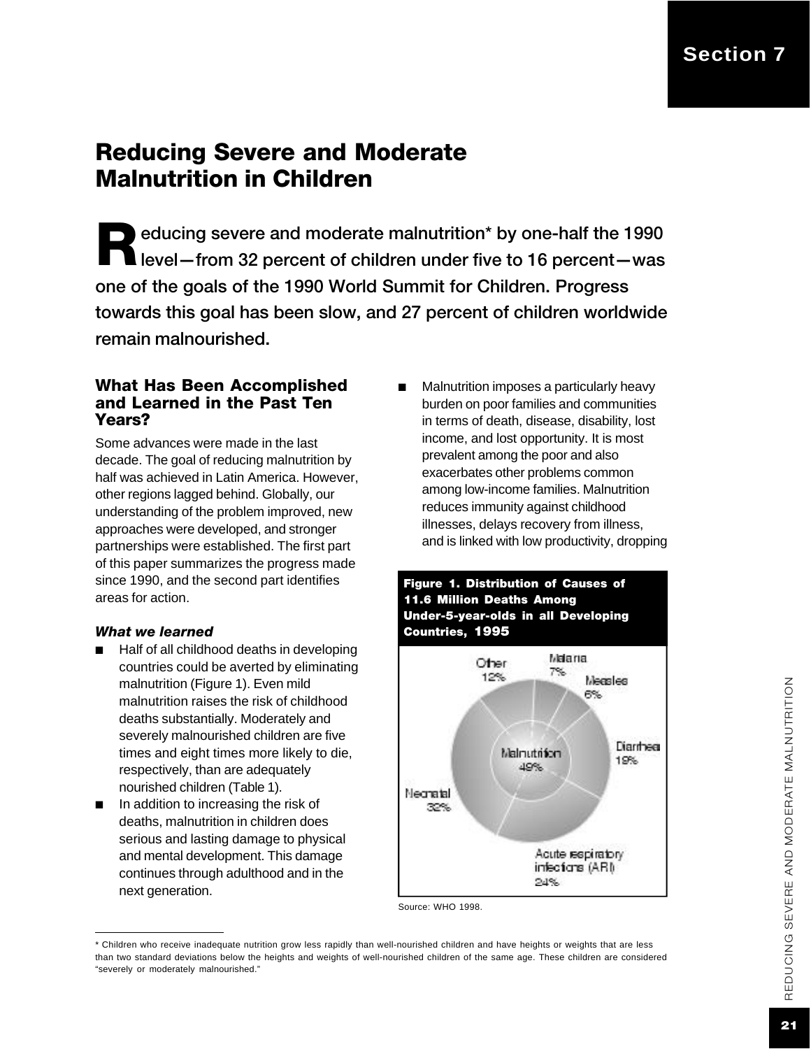# Reducing Severe and Moderate Malnutrition in Children

educing severe and moderate malnutrition\* by one-half the 1990<br>level—from 32 percent of children under five to 16 percent—was educing severe and moderate malnutrition\* by one-half the 1990 one of the goals of the 1990 World Summit for Children. Progress towards this goal has been slow, and 27 percent of children worldwide remain malnourished.

#### What Has Been Accomplished and Learned in the Past Ten Years?

Some advances were made in the last decade. The goal of reducing malnutrition by half was achieved in Latin America. However, other regions lagged behind. Globally, our understanding of the problem improved, new approaches were developed, and stronger partnerships were established. The first part of this paper summarizes the progress made since 1990, and the second part identifies areas for action.

#### *What we learned*

- Half of all childhood deaths in developing countries could be averted by eliminating malnutrition (Figure 1). Even mild malnutrition raises the risk of childhood deaths substantially. Moderately and severely malnourished children are five times and eight times more likely to die, respectively, than are adequately nourished children (Table 1).
- In addition to increasing the risk of deaths, malnutrition in children does serious and lasting damage to physical and mental development. This damage continues through adulthood and in the next generation.

■ Malnutrition imposes a particularly heavy burden on poor families and communities in terms of death, disease, disability, lost income, and lost opportunity. It is most prevalent among the poor and also exacerbates other problems common among low-income families. Malnutrition reduces immunity against childhood illnesses, delays recovery from illness, and is linked with low productivity, dropping



Source: WHO 1998.

<sup>\*</sup> Children who receive inadequate nutrition grow less rapidly than well-nourished children and have heights or weights that are less than two standard deviations below the heights and weights of well-nourished children of the same age. These children are considered "severely or moderately malnourished."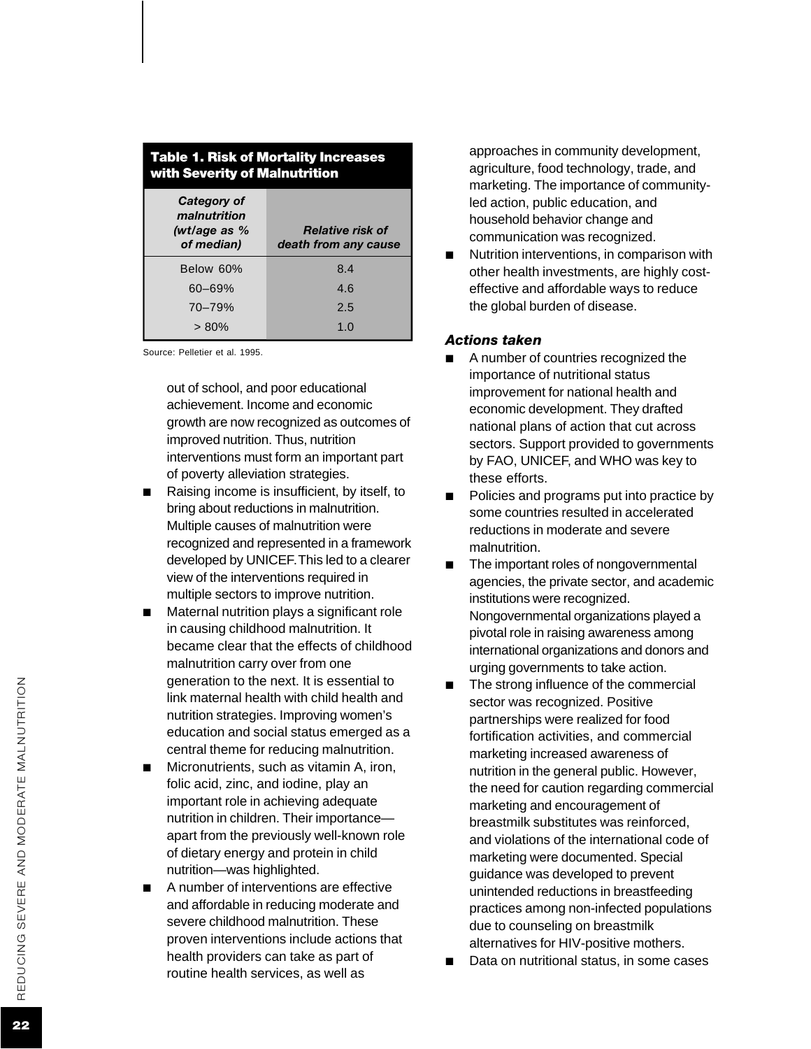| <b>Table 1. Risk of Mortality Increases</b><br>with Severity of Malnutrition |                                                 |  |  |
|------------------------------------------------------------------------------|-------------------------------------------------|--|--|
| Category of<br>malnutrition<br>(wt/age as $%$<br>of median)                  | <b>Relative risk of</b><br>death from any cause |  |  |
| Below 60%                                                                    | 8.4                                             |  |  |
| $60 - 69%$                                                                   | 4.6                                             |  |  |
| $70 - 79%$                                                                   | 2.5                                             |  |  |
| $> 80\%$                                                                     | 1.0                                             |  |  |

Source: Pelletier et al. 1995.

out of school, and poor educational achievement. Income and economic growth are now recognized as outcomes of improved nutrition. Thus, nutrition interventions must form an important part of poverty alleviation strategies.

- Raising income is insufficient, by itself, to bring about reductions in malnutrition. Multiple causes of malnutrition were recognized and represented in a framework developed by UNICEF. This led to a clearer view of the interventions required in multiple sectors to improve nutrition.
- Maternal nutrition plays a significant role in causing childhood malnutrition. It became clear that the effects of childhood malnutrition carry over from one generation to the next. It is essential to link maternal health with child health and nutrition strategies. Improving women's education and social status emerged as a central theme for reducing malnutrition.
- Micronutrients, such as vitamin A, iron, folic acid, zinc, and iodine, play an important role in achieving adequate nutrition in children. Their importance apart from the previously well-known role of dietary energy and protein in child nutrition—was highlighted.
- A number of interventions are effective and affordable in reducing moderate and severe childhood malnutrition. These proven interventions include actions that health providers can take as part of routine health services, as well as

approaches in community development, agriculture, food technology, trade, and marketing. The importance of communityled action, public education, and household behavior change and communication was recognized.

Nutrition interventions, in comparison with other health investments, are highly costeffective and affordable ways to reduce the global burden of disease.

#### *Actions taken*

- A number of countries recognized the importance of nutritional status improvement for national health and economic development. They drafted national plans of action that cut across sectors. Support provided to governments by FAO, UNICE F, and WHO was key to these efforts.
- Policies and programs put into practice by some countries resulted in accelerated reductions in moderate and severe malnutrition.
- The important roles of nongovernmental agencies, the private sector, and academic institutions were recognized. Nongovernmental organizations played a pivotal role in raising awareness among international organizations and donors and urging governments to take action.
- The strong influence of the commercial sector was recognized. Positive partnerships were realized for food fortification activities, and commercial marketing increased awareness of nutrition in the general public. However, the need for caution regarding commercial marketing and encouragement of breastmilk substitutes was reinforced, and violations of the international code of marketing were documented. Special guidance was developed to prevent unintended reductions in breastfeeding practices among non-infected populations due to counseling on breastmilk alternatives for HIV-positive mothers.
- Data on nutritional status, in some cases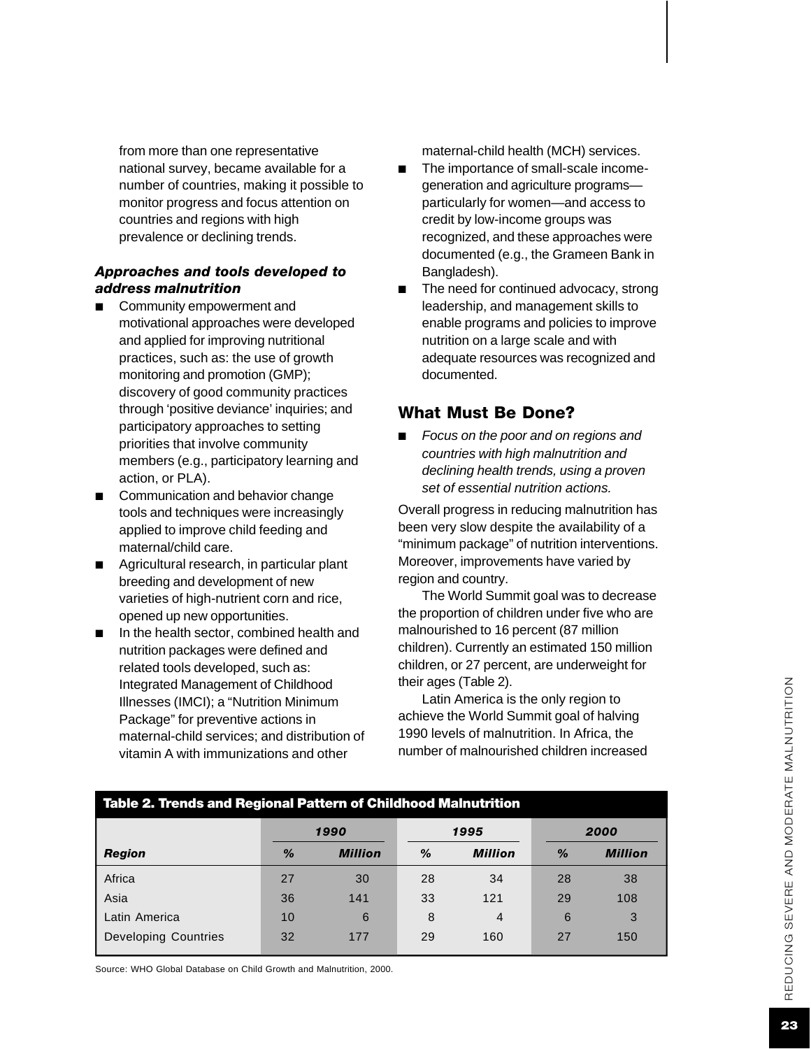from more than one representative national survey, became available for a number of countries, making it possible to monitor progress and focus attention on countries and regions with high prevalence or declining trends.

#### *Approaches and tools developed to address malnutrition*

- Community empowerment and motivational approaches were developed and applied for improving nutritional practices, such as: the use of growth monitoring and promotion (GMP); discovery of good community practices through 'positive deviance' inquiries; and participatory approaches to setting priorities that involve community members (e.g., participatory learning and action, or PLA).
- Communication and behavior change tools and techniques were increasingly applied to improve child feeding and maternal/child care.
- Agricultural research, in particular plant breeding and development of new varieties of high-nutrient corn and rice, opened up new opportunities.
- In the health sector, combined health and nutrition packages were defined and related tools developed, such as: Integrated Management of Childhood Illnesses (IMCI); a "Nutrition Minimum Package" for preventive actions in maternal-child services; and distribution of vitamin A with immunizations and other

maternal-child health (MCH) services.

- The importance of small-scale incomegeneration and agriculture programs particularly for women—and access to credit by low-income groups was recognized, and these approaches were documented (e.g., the Grameen Bank in Bangladesh).
- The need for continued advocacy, strong leadership, and management skills to enable programs and policies to improve nutrition on a large scale and with adequate resources was recognized and documented.

#### What Must Be Done?

*Focus on the poor and on regions and countries with high malnutrition and declining health trends, using a proven set of essential nutrition actions.*

Overall progress in reducing malnutrition has been very slow despite the availability of a "minimum package" of nutrition interventions. Moreover, improvements have varied by region and country.

The World Summit goal was to decrease the proportion of children under five who are malnourished to 16 percent (87 million children). Currently an estimated 150 million children, or 27 percent, are underweight for their ages (Table 2).

Latin America is the only region to achieve the World Summit goal of halving 1990 levels of malnutrition. In Africa, the number of malnourished children increased

| Table 2. Trends and Regional Pattern of Childhood Malnutrition |               |                |      |                |      |                |
|----------------------------------------------------------------|---------------|----------------|------|----------------|------|----------------|
|                                                                | 1990          |                | 1995 |                | 2000 |                |
| Region                                                         | $\frac{9}{6}$ | <b>Million</b> | $\%$ | <b>Million</b> | $\%$ | <b>Million</b> |
| Africa                                                         | 27            | 30             | 28   | 34             | 28   | 38             |
| Asia                                                           | 36            | 141            | 33   | 121            | 29   | 108            |
| Latin America                                                  | 10            | 6              | 8    | $\overline{4}$ | 6    | 3              |
| <b>Developing Countries</b>                                    | 32            | 177            | 29   | 160            | 27   | 150            |

Source: WHO Global Database on Child Growth and Malnutrition, 2000.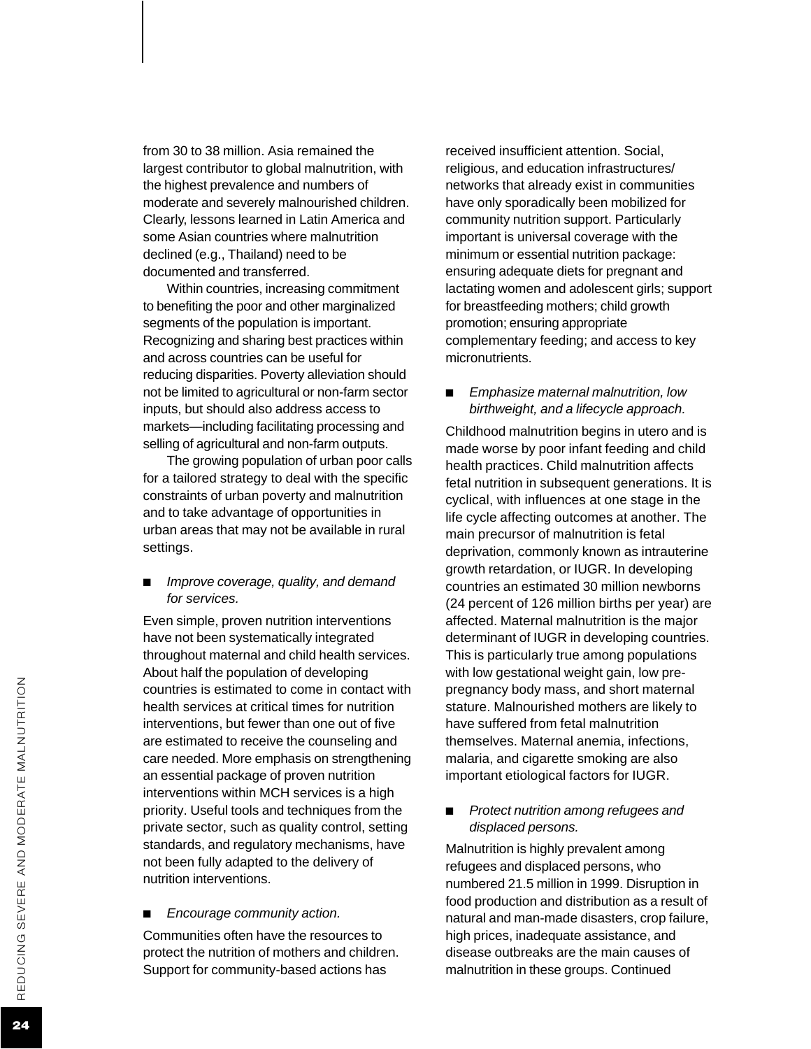from 30 to 38 million. Asia remained the largest contributor to global malnutrition, with the highest prevalence and numbers of moderate and severely malnourished children. Clearl y, lessons learned in Latin America and some Asian countries where malnutrition declined (e.g., Thailand) need to be documented and transferred.

Within countries, increasing commitment to benefiting the poor and other marginalized segments of the population is important. Recognizing and sharing best practices within and across countries can be useful for reducing disparities. Poverty alleviation should not be limited to agricultural or non-farm sector inputs, but should also address access to markets—including facilitating processing and selling of agricultural and non-farm outputs.

The growing population of urban poor calls for a tailored strategy to deal with the specific constraints of urban poverty and malnutrition and to take advantage of opportunities in urban areas that may not be available in rural settings.

■ *Improve coverage, quality, and demand for services.*

Even simple, proven nutrition interventions have not been systematically integrated throughout maternal and child health services. About half the population of developing countries is estimated to come in contact with health services at critical times for nutrition interventions, but fewer than one out of five are estimated to receive the counseling and care needed. More emphasis on strengthening an essential package of proven nutrition interventions within MCH services is a high priority. Useful tools and techniques from the private sector, such as quality control, setting standards, and regulatory mechanisms, have not been fully adapted to the delivery of nutrition interventions.

#### ■ *Encourage community action.*

Communities often have the resources to protect the nutrition of mothers and children. Support for community-based actions has

received insufficient attention. Social, religious, and education infrastructures/ networks that already exist in communities have only sporadically been mobilized for community nutrition support. Particularly important is universal coverage with the minimum or essential nutrition package: ensuring adequate diets for pregnant and lactating women and adolescent girls; support for breastfeeding mothers; child growth promotion; ensuring appropriate complementary feeding; and access to key micronutrients.

*Emphasize maternal malnutrition, low birthweight, and a lifecycle approach.*

Childhood malnutrition begins in utero and is made worse by poor infant feeding and child health practices. Child malnutrition affects fetal nutrition in subsequent generations. It is cyclical, with influences at one stage in the life cycle affecting outcomes at another. The main precursor of malnutrition is fetal deprivation, commonly known as intrauterine growth retardation, or IUGR. In developing countries an estimated 30 million newborns (24 percent of 126 million births per year) are affected. Maternal malnutrition is the major determinant of IUGR in developing countries. This is particularly true among populations with low gestational weight gain, low prepregnancy body mass, and short maternal stature. Malnourished mothers are likely to have suffered from fetal malnutrition themselves. Maternal anemia, infections, malaria, and cigarette smoking are also important etiological factors for IUGR.

■ *Protect nutrition among refugees and displaced persons.*

Malnutrition is highly prevalent among refugees and displaced persons, who numbered 21.5 million in 1999. Disruption in food production and distribution as a result of natural and man-made disasters, crop failure, high prices, inadequate assistance, and disease outbreaks are the main causes of malnutrition in these groups. Continued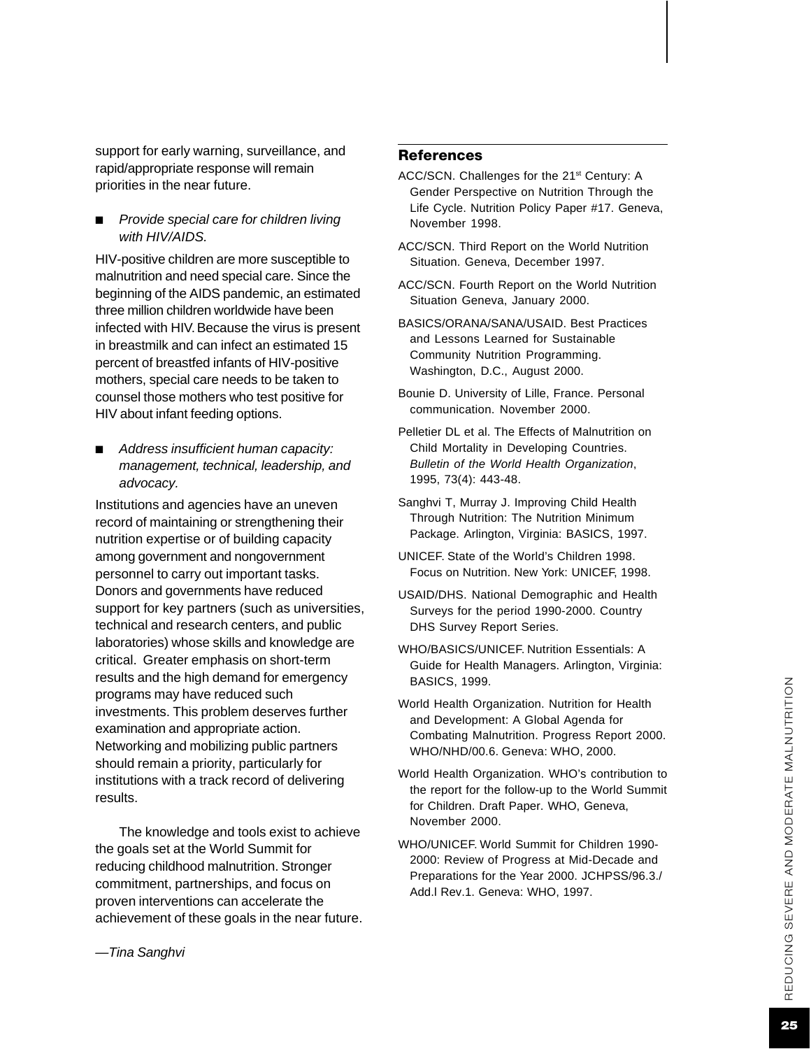support for early warning, surveillance, and rapid/appropriate response will remain priorities in the near future.

**Provide special care for children living** *with HIV/AIDS.*

HIV-positive children are more susceptible to malnutrition and need special care. Since the beginning of the AIDS pandemic, an estimated three million children worldwide have been infected with HIV. Because the virus is present in breastmilk and can infect an estimated 15 percent of breastfed infants of HIV-positive mothers, special care needs to be taken to counsel those mothers who test positive for HIV about infant feeding options.

■ *Address insufficient human capacity: management, technical, leadership, and advocacy.*

Institutions and agencies have an uneven record of maintaining or strengthening their nutrition expertise or of building capacity among government and nongovernment personnel to carry out important tasks. Donors and governments have reduced support for key partners (such as universities, technical and research centers, and public laboratories) whose skills and knowledge are critical. Greater emphasis on short-term results and the high demand for emergency programs may have reduced such investments. This problem deserves further examination and appropriate action. Networking and mobilizing public partners should remain a priority, particularly for institutions with a track record of delivering results.

The knowledge and tools exist to achieve the goals set at the World Summit for reducing childhood malnutrition. Stronger commitment, partnerships, and focus on proven interventions can accelerate the achievement of these goals in the near future.

#### **References**

- ACC/SCN. Challenges for the 21<sup>st</sup> Century: A Gender Perspective on Nutrition Through the Life Cycle. Nutrition Policy Paper #17. Geneva, November 1998.
- ACC/SCN. Third Report on the World Nutrition Situation. Geneva, December 1997.
- ACC/SCN. Fourth Report on the World Nutrition Situation Geneva, January 2000.
- BASICS/ORANA/SANA/USAID. Best Practices and Lessons Learned for Sustainable Community Nutrition Programming. Washington, D.C., August 2000.
- Bounie D. University of Lille, France. Personal communication. November 2000.
- Pelletier DL et al. The Effects of Malnutrition on Child Mortality in Developing Countries. *Bulletin of the World Health Organization* , 1995, 73(4): 443-48.
- Sanghvi T, Murray J. Improving Child Health Through Nutrition: The Nutrition Minimum Package. Arlington, Virginia: BASICS, 1997.
- UNICEF. State of the World's Children 1998. Focus on Nutrition. New York: UNICE F, 1998.
- USAID/DHS. National Demographic and Health Surveys for the period 1990-2000. Country DHS Survey Report Series.
- WHO/BASICS/UNICEF. Nutrition Essentials: A Guide for Health Managers. Arlington, Virginia: BASICS, 1999.
- World Health Organization. Nutrition for Health and Development: A Global Agenda for Combating Malnutrition. Progress Report 2000. WHO/NHD/00.6. Geneva: WHO, 2000.
- World Health Organization. WHO's contribution to the report for the follow-up to the World Summit for Children. Draft Paper. WHO, Geneva, November 2000.
- WHO/UNICEF. World Summit for Children 1990- 2000: Review of Progress at Mid-Decade and Preparations for the Year 2000. JCHPSS/96.3./ Add.l Rev.1. Geneva: WHO, 1997.

*—Tina Sanghvi*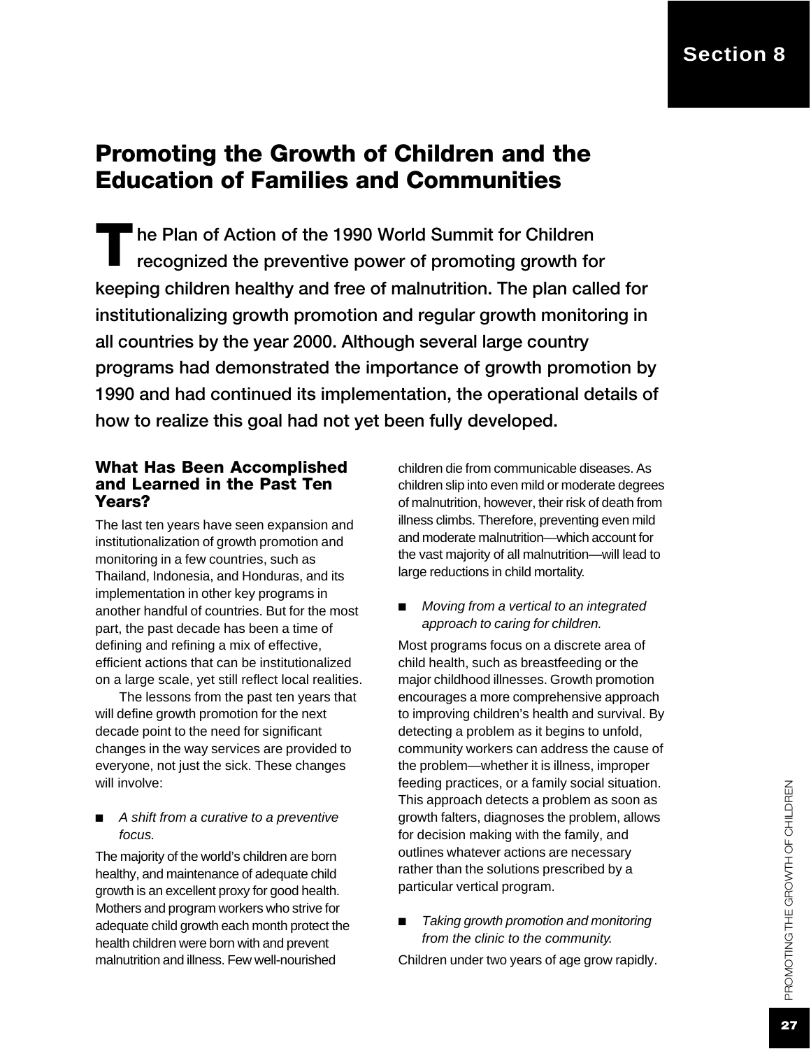# Promoting the Growth of Children and the Education of Families and Communities

keeping children healthy and free of malnutrition. The plan called for institutionalizing growth promotion and regular growth monitoring in all countries by the year 2000. Although several large country programs had demonstrated the importance of growth promotion by 1990 and had continued its implementation, the operational details of how to realize this goal had not yet been fully developed. The Plan of Action of the 1990 World Summit for Children<br>recognized the preventive power of promoting growth for recognized the preventive power of promoting growth for

#### What Has Been Accomplished and Learned in the Past Ten Years?

The last ten years have seen expansion and institutionalization of growth promotion and monitoring in a few countries, such as Thailand, Indonesia, and Honduras, and its implementation in other key programs in another handful of countries. But for the most part, the past decade has been a time of defining and refining a mix of effective, efficient actions that can be institutionalized on a large scale, yet still reflect local realities.

The lessons from the past ten years that will define growth promotion for the next decade point to the need for significant changes in the way services are provided to everyone, not just the sick. These changes will involve:

■ *A shift from a curative to a preventive focus.*

The majority of the world's children are born healthy, and maintenance of adequate child growth is an excellent proxy for good health. Mothers and program workers who strive for adequate child growth each month protect the health children were born with and prevent malnutrition and illness. Few well-nourished

children die from communicable diseases. As children slip into even mild or moderate degrees of malnutrition, however, their risk of death from illness climbs. Therefore, preventing even mild and moderate malnutrition—which account for the vast majority of all malnutrition—will lead to large reductions in child mortality.

*Moving from a vertical to an integrated approach to caring for children.*

Most programs focus on a discrete area of child health, such as breastfeeding or the major childhood illnesses. Growth promotion encourages a more comprehensive approach to improving children's health and survival. By detecting a problem as it begins to unfold, community workers can address the cause of the problem—whether it is illness, improper feeding practices, or a family social situation. This approach detects a problem as soon as growth falters, diagnoses the problem, allows for decision making with the family, and outlines whatever actions are necessary rather than the solutions prescribed by a particular vertical program.

*Taking growth promotion and monitoring from the clinic to the community.*

Children under two years of age grow rapidly.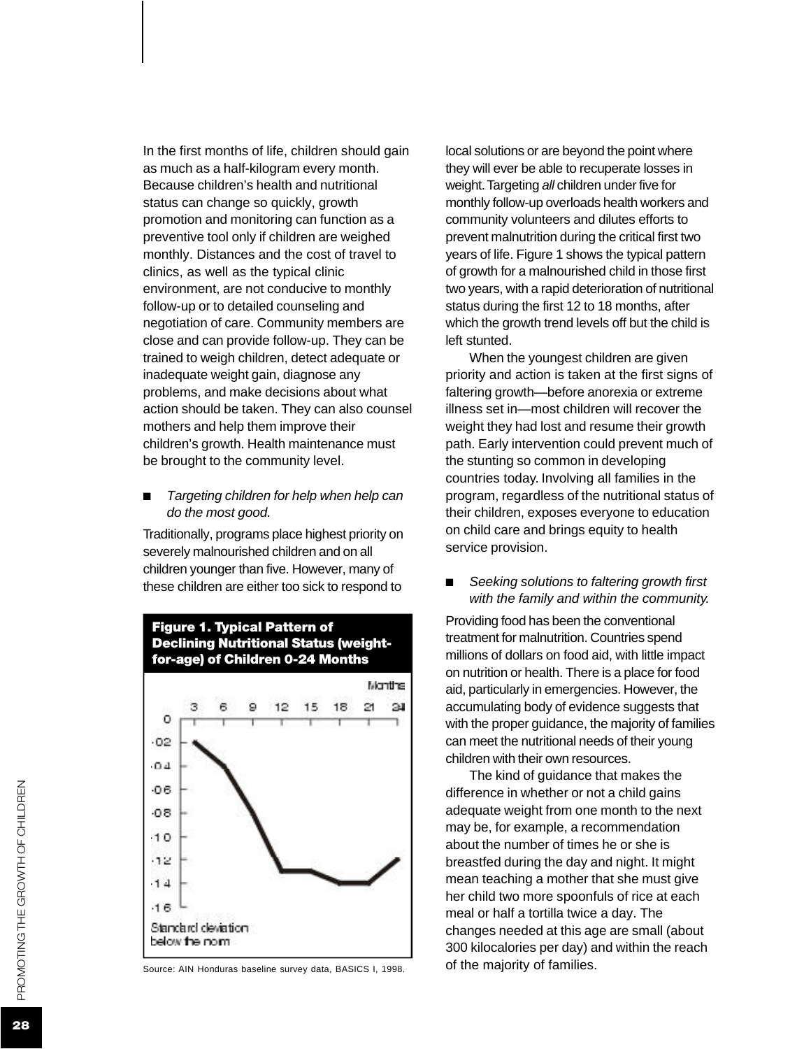In the first months of life, children should gain as much as a half-kilogram every month. Because children's health and nutritional status can change so quickly, growth promotion and monitoring can function as a preventive tool only if children are weighed monthly. Distances and the cost of travel to clinics, as well as the typical clinic environment, are not conducive to monthly follow-up or to detailed counseling and negotiation of care. Community members are close and can provide follow-up. They can be trained to weigh children, detect adequate or inadequate weight gain, diagnose any problems, and make decisions about what action should be taken. They can also counsel mothers and help them improve their children's growth. Health maintenance must be brought to the community level.

#### ■ *Targeting children for help when help can do the most good.*

Traditionally, programs place highest priority on severely malnourished children and on all children younger than five. However, many of these children are either too sick to respond to



Source: AIN Honduras baseline survey data, BASICS I, 1998.

local solutions or are beyond the point where they will ever be able to recuperate losses in weight. Targeting *all* children under five for monthly follow-up overloads health workers and community volunteers and dilutes efforts to prevent malnutrition during the critical first two years of life. Figure 1 shows the typical pattern of growth for a malnourished child in those first two years, with a rapid deterioration of nutritional status during the first 12 to 18 months, after which the growth trend levels off but the child is left stunted.

When the youngest children are given priority and action is taken at the first signs of faltering growth—before anorexia or extreme illness set in—most children will recover the weight they had lost and resume their growth path. Early intervention could prevent much of the stunting so common in developing countries today. Involving all families in the program, regardless of the nutritional status of their children, exposes everyone to education on child care and brings equity to health service provision.

**Seeking solutions to faltering growth first** *with the family and within the community.*

Providing food has been the conventional treatment for malnutrition. Countries spend millions of dollars on food aid, with little impact on nutrition or health. There is a place for food aid, particularly in emergencies. However, the accumulating body of evidence suggests that with the proper guidance, the majority of families can meet the nutritional needs of their young children with their own resources.

The kind of guidance that makes the difference in whether or not a child gains adequate weight from one month to the next may be, for example, a recommendation about the number of times he or she is breastfed during the day and night. It might mean teaching a mother that she must give her child two more spoonfuls of rice at each meal or half a tortilla twice a day. The changes needed at this age are small (about 300 kilocalories per day) and within the reach of the majority of families.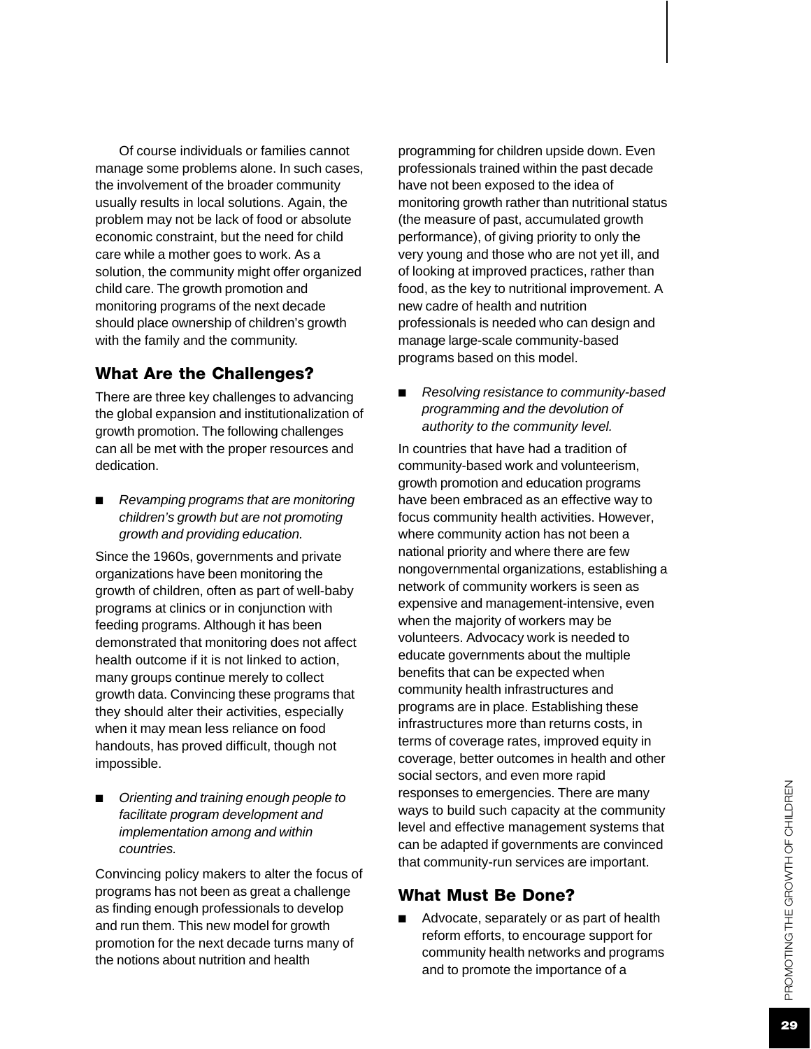Of course individuals or families cannot manage some problems alone. In such cases, the involvement of the broader community usually results in local solutions. Again, the problem may not be lack of food or absolute economic constraint, but the need for child care while a mother goes to work. As a solution, the community might offer organized child care. The growth promotion and monitoring programs of the next decade should place ownership of children's growth with the family and the community.

#### What Are the Challenges ?

There are three key challenges to advancing the global expansion and institutionalization of growth promotion. The following challenges can all be met with the proper resources and dedication.

■ *Revamping programs that are monitoring children's growth but are not promoting growth and providing education.*

Since the 1960s, governments and private organizations have been monitoring the growth of children, often as part of well-baby programs at clinics or in conjunction with feeding programs. Although it has been demonstrated that monitoring does not affect health outcome if it is not linked to action, many groups continue merely to collect growth data. Convincing these programs that they should alter their activities, especially when it may mean less reliance on food handouts, has proved difficult, though not impossible.

■ *Orienting and training enough people to facilitate program development and implementation among and within countries.*

Convincing policy makers to alter the focus of programs has not been as great a challenge as finding enough professionals to develop and run them. This new model for growth promotion for the next decade turns many of the notions about nutrition and health

programming for children upside down. Even professionals trained within the past decade have not been exposed to the idea of monitoring growth rather than nutritional status (the measure of past, accumulated growth performance), of giving priority to only the very young and those who are not yet ill, and of looking at improved practices, rather than food, as the key to nutritional improvement. A new cadre of health and nutrition professionals is needed who can design and manage large-scale community-based programs based on this model.

■ *Resolving resistance to community-based programming and the devolution of authority to the community level.*

In countries that have had a tradition of community-based work and volunteerism, growth promotion and education programs have been embraced as an effective way to focus community health activities. However, where community action has not been a national priority and where there are few nongovernmental organizations, establishing a network of community workers is seen as expensive and management-intensive, even when the majority of workers may be volunteers. Advocacy work is needed to educate governments about the multiple benefits that can be expected when community health infrastructures and programs are in place. Establishing these infrastructures more than returns costs, in terms of coverage rates, improved equity in coverage, better outcomes in health and other social sectors, and even more rapid responses to emergencies. There are many ways to build such capacity at the community level and effective management systems that can be adapted if governments are convinced that community-run services are important.

#### What Must Be Done?

■ Advocate, separately or as part of health reform efforts, to encourage support for community health networks and programs and to promote the importance of a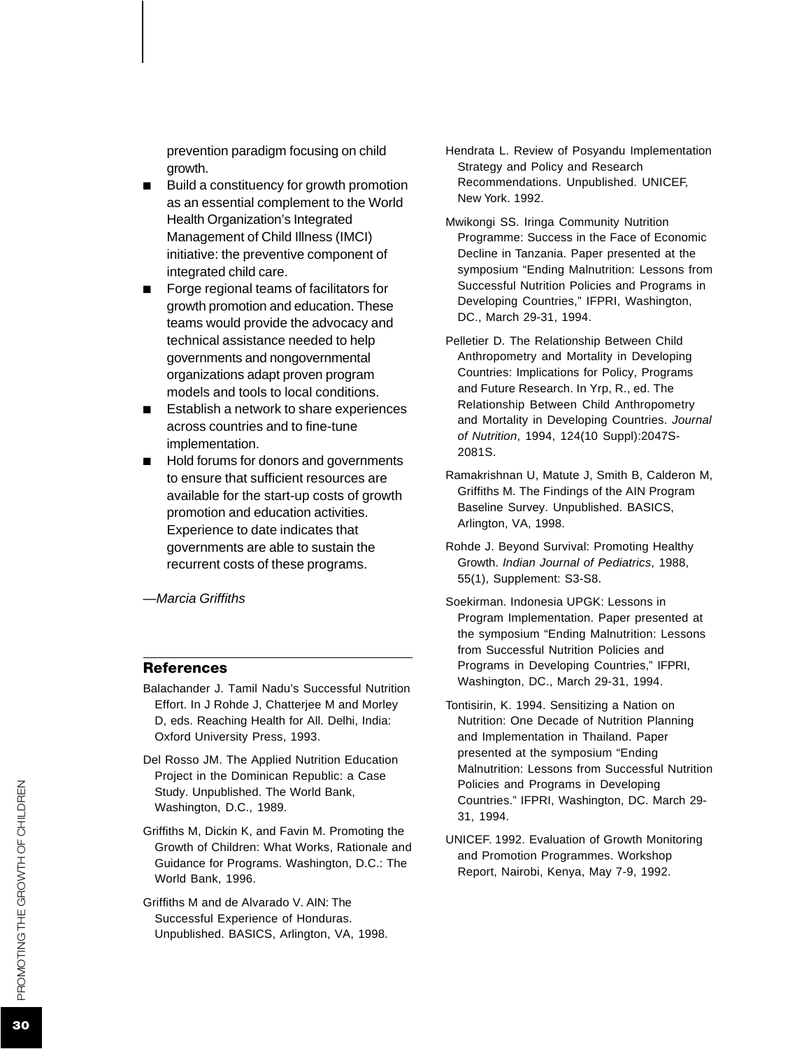prevention paradigm focusing on child growth.

- Build a constituency for growth promotion as an essential complement to the World Health Organization's Integrated Management of Child Illness (IMCI) initiative: the preventive component of integrated child care.
- Forge regional teams of facilitators for growth promotion and education. These teams would provide the advocacy and technical assistance needed to help governments and nongovernmental organizations adapt proven program models and tools to local conditions.
- Establish a network to share experiences across countries and to fine-tune implementation.
- Hold forums for donors and governments to ensure that sufficient resources are available for the start-up costs of growth promotion and education activities. Experience to date indicates that governments are able to sustain the recurrent costs of these programs.

*—Marcia Griffiths*

#### References

- Balachander J. Tamil Nadu's Successful Nutrition Effort. In J Rohde J, Chatterjee M and Morley D, eds. Reaching Health for All. Delhi, India: Oxford University Press, 1993.
- Del Rosso JM. The Applied Nutrition Education Project in the Dominican Republic: a Case Study. Unpublished. The World Bank, Washington, D.C., 1989.
- Griffiths M, Dickin K, and Favin M. Promoting the Growth of Children: What Works, Rationale and Guidance for Programs. Washington, D.C.: The World Bank, 1996.
- Griffiths M and de Alvarado V. AIN: The Successful Experience of Honduras. Unpublished. BASICS, Arlington, VA, 1998.
- Hendrata L. Review of Posyandu Implementation Strategy and Policy and Research Recommendations. Unpublished. UNICE F, New York. 1992.
- Mwikongi SS. Iringa Community Nutrition Programme: Success in the Face of Economic Decline in Tanzania. Paper presented at the symposium "Ending Malnutrition: Lessons from Successful Nutrition Policies and Programs in Developing Countries," IFPRI, Washington, DC., March 29-31, 1994.
- Pelletier D. The Relationship Between Child Anthropometry and Mortality in Developing Countries: Implications for Policy, Programs and Future Research. In Yrp, R., ed. The Relationship Between Child Anthropometry and Mortality in Developing Countries. *Journal of Nutrition*, 1994, 124(10 Suppl):2047S-2081S.
- Ramakrishnan U, Matute J, Smith B, Calderon M, Griffiths M. The Findings of the AIN Program Baseline Survey. Unpublished. BASICS, Arlington, VA, 1998.
- Rohde J. Beyond Survival: Promoting Healthy Growth. *Indian Journal of Pediatrics*, 1988, 55(1), Supplement: S3-S8.
- Soekirman. Indonesia UPGK: Lessons in Program Implementation. Paper presented at the symposium "Ending Malnutrition: Lessons from Successful Nutrition Policies and Programs in Developing Countries," IFPRI, Washington, DC., March 29-31, 1994.
- Tontisirin, K. 1994. Sensitizing a Nation on Nutrition: One Decade of Nutrition Planning and Implementation in Thailand. Paper presented at the symposium "Ending Malnutrition: Lessons from Successful Nutrition Policies and Programs in Developing Countries." IFPRI, Washington, DC. March 29- 31, 1994.
- UNICEF. 1992. Evaluation of Growth Monitoring and Promotion Programmes. Workshop Report, Nairobi, Kenya, May 7-9, 1992.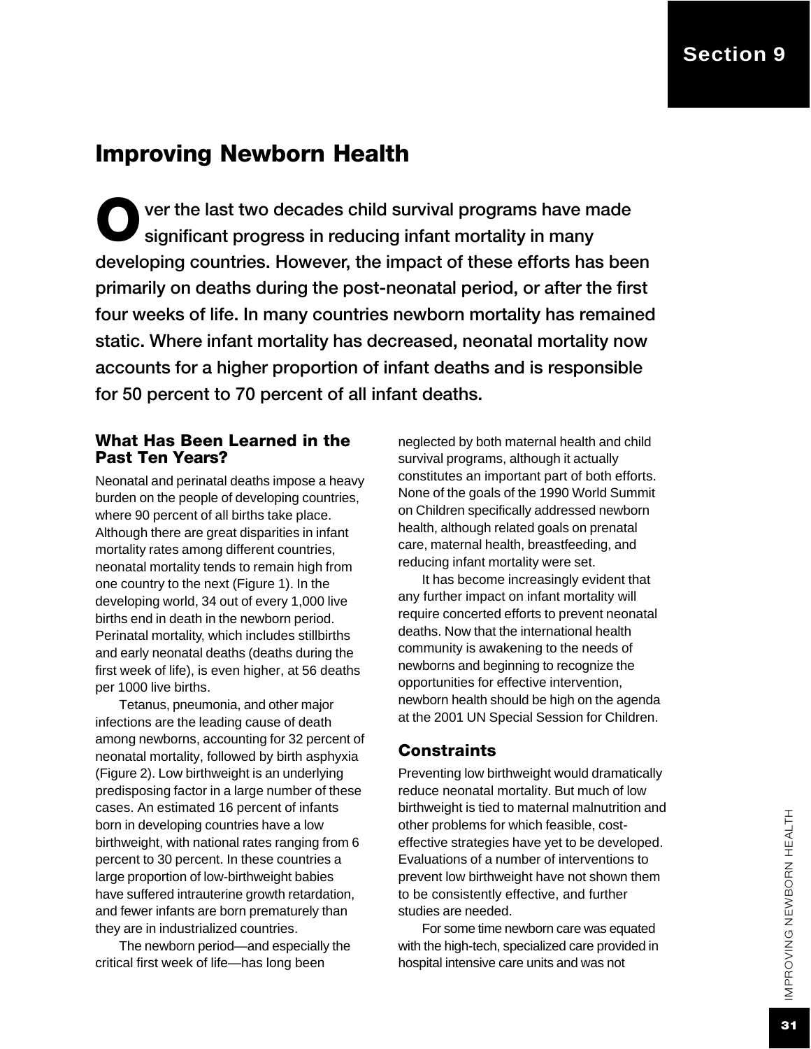# Improving Newborn Health

O ver the last two decades child survival programs have made significant progress in reducing infant mortality in many developing countries. However, the impact of these efforts has been primarily on deaths during the post-neonatal period, or after the first four weeks of life. In many countries newborn mortality has remained static. Where infant mortality has decreased, neonatal mortality now accounts for a higher proportion of infant deaths and is responsible for 50 percent to 70 percent of all infant deaths.

#### What Has Been Learned in the Past Ten Years?

Neonatal and perinatal deaths impose a heavy burden on the people of developing countries, where 90 percent of all births take place. Although there are great disparities in infant mortality rates among different countries, neonatal mortality tends to remain high from one country to the next (Figure 1). In the developing world, 34 out of every 1,000 live births end in death in the newborn period. Perinatal mortality, which includes stillbirths and early neonatal deaths (deaths during the first week of life), is even higher, at 56 deaths per 1000 live births.

Tetanus, pneumonia, and other major infections are the leading cause of death among newborns, accounting for 32 percent of neonatal mortality, followed by birth asphyxia (Figure 2). Low birthweight is an underlying predisposing factor in a large number of these cases. An estimated 16 percent of infants born in developing countries have a low birthweight, with national rates ranging from 6 percent to 30 percent. In these countries a large proportion of low-birthweight babies have suffered intrauterine growth retardation, and fewer infants are born prematurely than they are in industrialized countries.

The newborn period—and especially the critical first week of life—has long been

neglected by both maternal health and child survival programs, although it actually constitutes an important part of both efforts. None of the goals of the 1990 World Summit on Children specifically addressed newborn health, although related goals on prenatal care, maternal health, breastfeeding, and reducing infant mortality were set.

It has become increasingly evident that any further impact on infant mortality will require concerted efforts to prevent neonatal deaths. Now that the international health community is awakening to the needs of newborns and beginning to recognize the opportunities for effective intervention, newborn health should be high on the agenda at the 2001 UN Special Session for Children.

#### **Constraints**

Preventing low birthweight would dramatically reduce neonatal mortality. But much of low birthweight is tied to maternal malnutrition and other problems for which feasible, costeffective strategies have yet to be developed. Evaluations of a number of interventions to prevent low birthweight have not shown them to be consistently effective, and further studies are needed.

For some time newborn care was equated with the high-tech, specialized care provided in hospital intensive care units and was not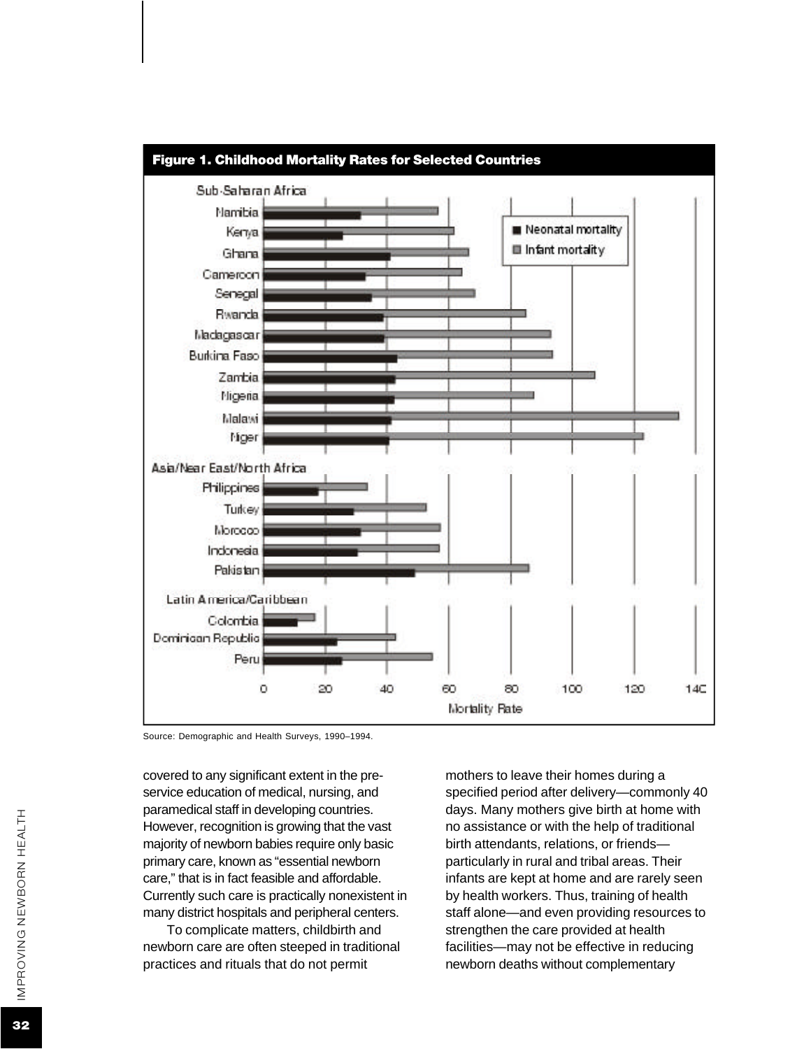

Source: Demographic and Health Surveys, 1990–1994.

covered to any significant extent in the preservice education of medical, nursing, and paramedical staff in developing countries. However, recognition is growing that the vast majority of newborn babies require only basic primary care, known as "essential newborn care," that is in fact feasible and affordable. Currently such care is practically nonexistent in many district hospitals and peripheral centers.

To complicate matters, childbirth and newborn care are often steeped in traditional practices and rituals that do not permit

mothers to leave their homes during a specified period after delivery—commonly 40 days. Many mothers give birth at home with no assistance or with the help of traditional birth attendants, relations, or friends particularly in rural and tribal areas. Their infants are kept at home and are rarely seen by health workers. Thus, training of health staff alone—and even providing resources to strengthen the care provided at health facilities—may not be effective in reducing newborn deaths without complementary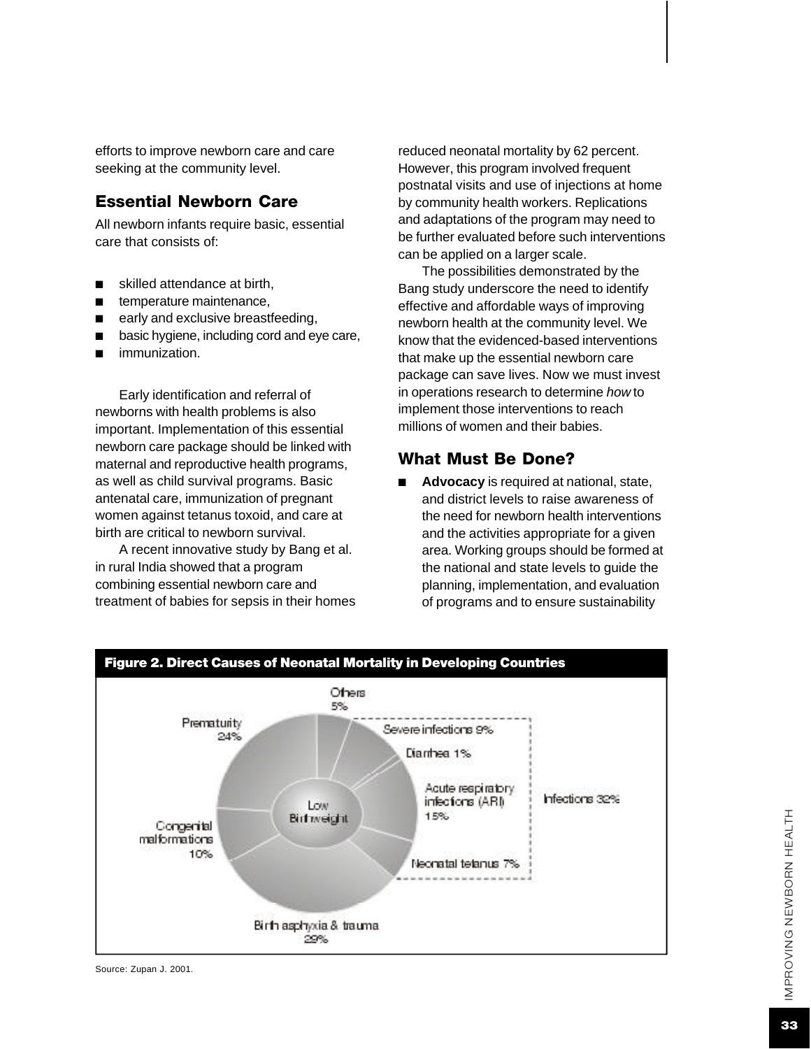efforts to improve newborn care and care seeking at the community level.

#### Essential Newborn Care

All newborn infants require basic, essential care that consists of:

- skilled attendance at birth,
- temperature maintenance,
- early and exclusive breastfeeding,
- basic hygiene, including cord and eye care,
- immunization.

Early identification and referral of newborns with health problems is also important. Implementation of this essential newborn care package should be linked with maternal and reproductive health programs, as well as child survival programs. Basic antenatal care, immunization of pregnant women against tetanus toxoid, and care at birth are critical to newborn survival.

A recent innovative study by Bang et al. in rural India showed that a program combining essential newborn care and treatment of babies for sepsis in their homes reduced neonatal mortality by 62 percent. However, this program involved frequent postnatal visits and use of injections at home by community health workers. Replications and adaptations of the program may need to be further evaluated before such interventions can be applied on a larger scale.

The possibilities demonstrated by the Bang study underscore the need to identify effective and affordable ways of improving newborn health at the community level. We know that the evidenced-based interventions that make up the essential newborn care package can save lives. Now we must invest in operations research to determine *how* to implement those interventions to reach millions of women and their babies.

#### What Must Be Done?

Advocacy is required at national, state, and district levels to raise awareness of the need for newborn health interventions and the activities appropriate for a given area. Working groups should be formed at the national and state levels to guide the planning, implementation, and evaluation of programs and to ensure sustainability

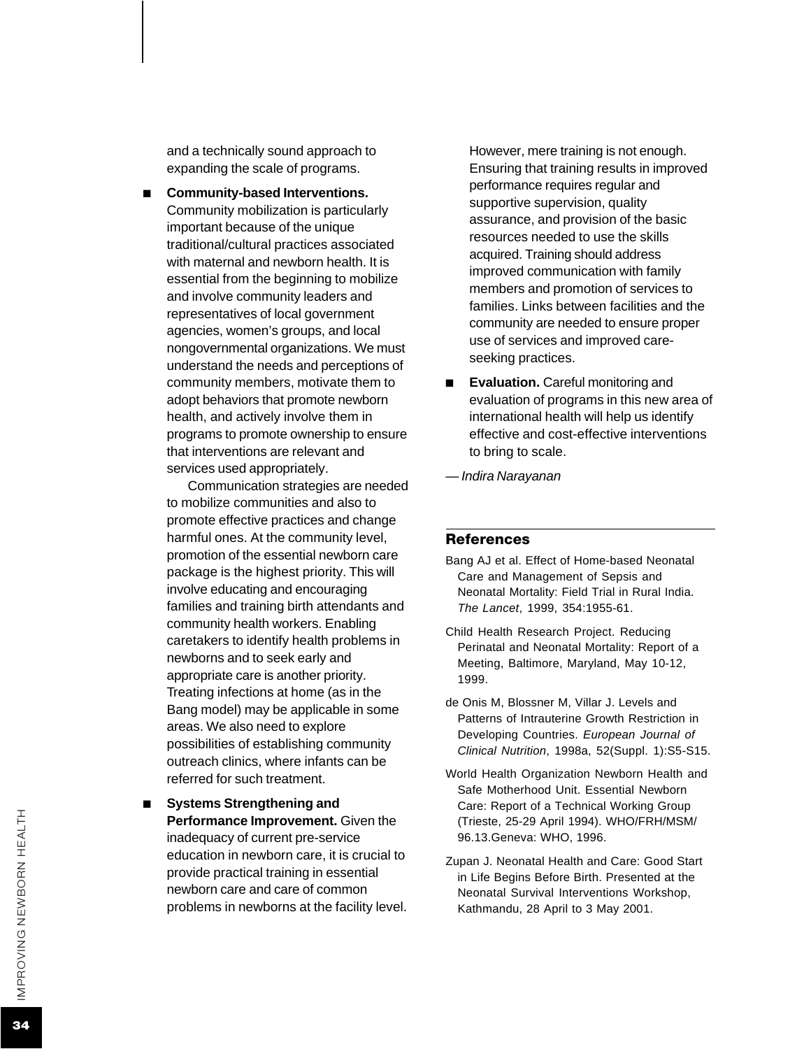and a technically sound approach to expanding the scale of programs.

■ **Community-based Interventions.** Community mobilization is particularly important because of the unique traditional/cultural practices associated with maternal and newborn health. It is essential from the beginning to mobilize and involve community leaders and representatives of local government agencies, women's groups, and local nongovernmental organizations. We must understand the needs and perceptions of community members, motivate them to adopt behaviors that promote newborn health, and actively involve them in programs to promote ownership to ensure that interventions are relevant and services used appropriately.

Communication strategies are needed to mobilize communities and also to promote effective practices and change harmful ones. At the community level, promotion of the essential newborn care package is the highest priority. This will involve educating and encouraging families and training birth attendants and community health workers. Enabling caretakers to identify health problems in newborns and to seek early and appropriate care is another priority. Treating infections at home (as in the Bang model) may be applicable in some areas. We also need to explore possibilities of establishing community outreach clinics, where infants can be referred for such treatment.

■ **Systems Strengthening and Performance Improvement.** Given the inadequacy of current pre-service education in newborn care, it is crucial to provide practical training in essential newborn care and care of common problems in newborns at the facility level.

However, mere training is not enough. Ensuring that training results in improved performance requires regular and supportive supervision, quality assurance, and provision of the basic resources needed to use the skills acquired. Training should address improved communication with family members and promotion of services to families. Links between facilities and the community are needed to ensure proper use of services and improved careseeking practices.

■ **Evaluation.** Careful monitoring and evaluation of programs in this new area of international health will help us identify effective and cost-effective interventions to bring to scale.

*— Indira Narayanan*

#### **References**

- Bang AJ et al. Effect of Home-based Neonatal Care and Management of Sepsis and Neonatal Mortality: Field Trial in Rural India. *The Lancet*, 1999, 354:1955-61.
- Child Health Research Project. Reducing Perinatal and Neonatal Mortality: Report of a Meeting, Baltimore, Maryland, May 10-12, 1999.
- de Onis M, Blossner M, Villar J. Levels and Patterns of Intrauterine Growth Restriction in Developing Countries. *European Journal of Clinical Nutrition*, 1998a, 52(Suppl. 1):S5-S15.
- World Health Organization Newborn Health and Safe Motherhood Unit. Essential Newborn Care: Report of a Technical Working Group (Trieste, 25-29 April 1994). WHO/FRH/MSM/ 96.13.Geneva: WHO, 1996.
- Zupan J. Neonatal Health and Care: Good Start in Life Begins Before Birth. Presented at the Neonatal Survival Interventions Workshop, Kathmandu, 28 April to 3 May 2001.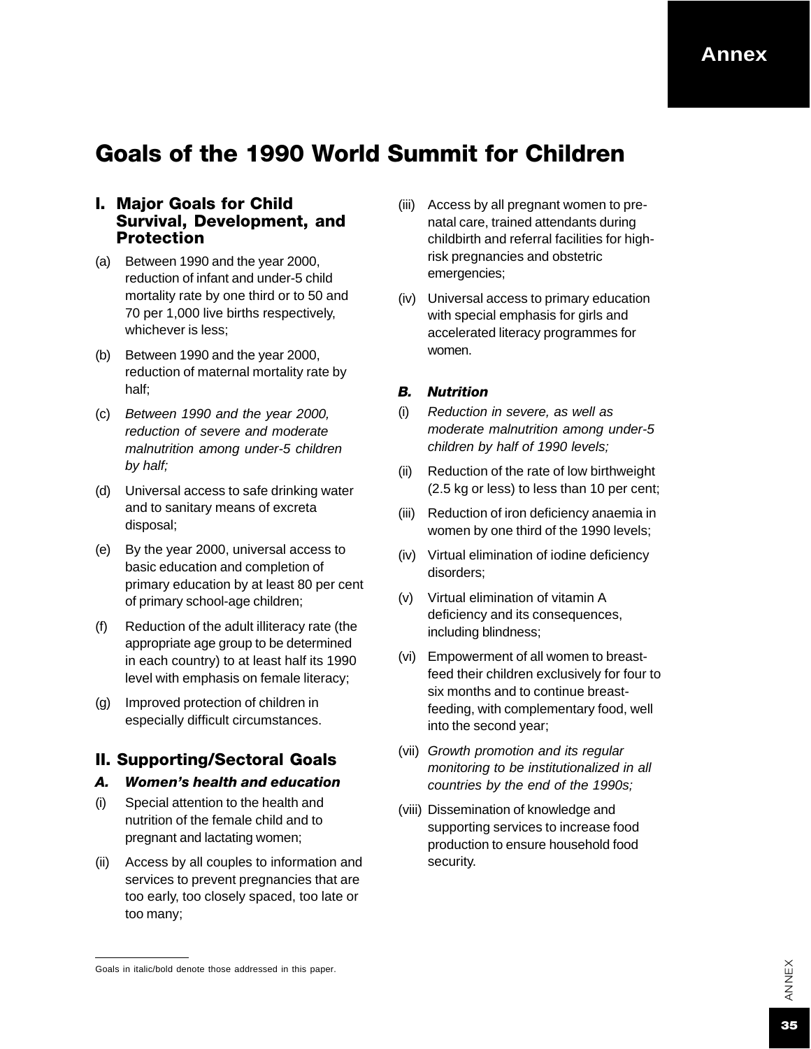#### **Annex**

### Goals of the 1990 World Summit for Children

#### I. Major Goals for Child Survival, Development, and Protection

- (a) Between 1990 and the year 2000, reduction of infant and under-5 child mortality rate by one third or to 50 and 70 per 1,000 live births respectively, whichever is less;
- (b) Between 1990 and the year 2000, reduction of maternal mortality rate by half;
- (c) *Between 1990 and the year 2000, reduction of severe and moderate malnutrition among under-5 children by half;*
- (d) Universal access to safe drinking water and to sanitary means of excreta disposal;
- (e) By the year 2000, universal access to basic education and completion of primary education by at least 80 per cent of primary school-age children;
- (f) Reduction of the adult illiteracy rate (the appropriate age group to be determined in each country) to at least half its 1990 level with emphasis on female literacy;
- (g) Improved protection of children in especially difficult circumstances.

#### II. Supporting/Sectoral Goals

#### *A. Women's health and education*

- (i) Special attention to the health and nutrition of the female child and to pregnant and lactating women;
- (ii) Access by all couples to information and services to prevent pregnancies that are too early, too closely spaced, too late or too many;
- (iii) Access by all pregnant women to prenatal care, trained attendants during childbirth and referral facilities for highrisk pregnancies and obstetric emergencies;
- (iv) Universal access to primary education with special emphasis for girls and accelerated literacy programmes for women.

#### *B. Nutrition*

- (i) *Reduction in severe, as well as moderate malnutrition among under-5 children by half of 1990 levels;*
- (ii) Reduction of the rate of low birthweight (2.5 kg or less) to less than 10 per cent;
- (iii) Reduction of iron deficiency anaemia in women by one third of the 1990 levels;
- (iv) Virtual elimination of iodine deficiency disorders;
- (v) Virtual elimination of vitamin A deficiency and its consequences, including blindness;
- (vi) Empowerment of all women to breastfeed their children exclusively for four to six months and to continue breastfeeding, with complementary food, well into the second year;
- (vii) *Growth promotion and its regular monitoring to be institutionalized in all countries by the end of the 1990s;*
- (viii) Dissemination of knowledge and supporting services to increase food production to ensure household food security.

Goals in italic/bold denote those addressed in this paper.